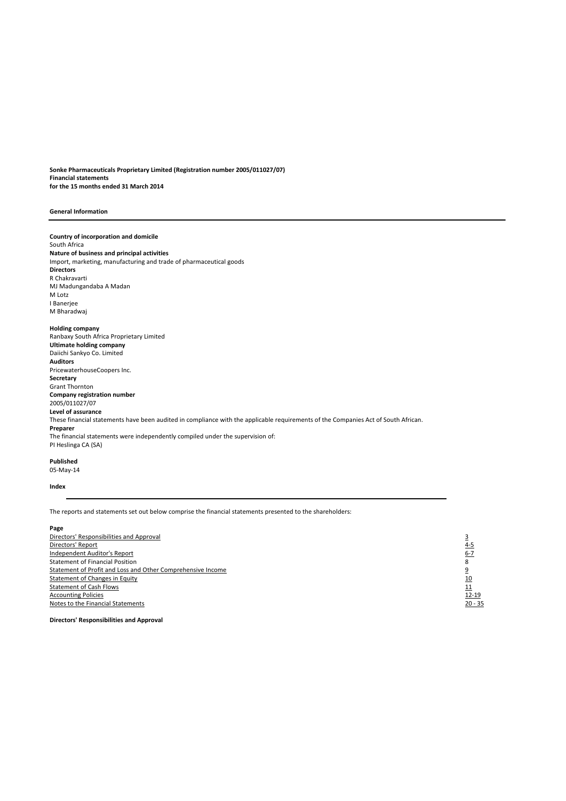**Sonke Pharmaceuticals Proprietary Limited (Registration number 2005/011027/07) Financial statements for the 15 months ended 31 March 2014**

#### **General Information**

**Country of incorporation and domicile** South Africa **Nature of business and principal activities** Import, marketing, manufacturing and trade of pharmaceutical goods **Directors** R Chakravarti MJ Madungandaba A Madan M Lotz I Banerjee M Bharadwaj **Holding company** Ranbaxy South Africa Proprietary Limited **Ultimate holding company** Daiichi Sankyo Co. Limited **Auditors** PricewaterhouseCoopers Inc. **Secretary** Grant Thornton **Company registration number** 2005/011027/07 **Level of assurance** These financial statements have been audited in compliance with the applicable requirements of the Companies Act of South African. **Preparer** The financial statements were independently compiled under the supervision of: PI Heslinga CA (SA)

# **Published**

05-May-14

## **Index**

The reports and statements set out below comprise the financial statements presented to the shareholders:

#### **Page**

Directors' Responsibilities and Approval 3 and 3 and 3 and 3 and 3 and 3 and 3 and 3 and 3 and 3 and 3 and 3 and 3 and 3 and 3 and 3 and 3 and 3 and 3 and 3 and 3 and 3 and 3 and 3 and 3 and 3 and 3 and 3 and 3 and 3 and 3 <u>Directors' Report</u><br>
<u>Independent Auditor's Report</u><br>
Statement of Financial Position<br>
<u>Statement of Profit and Loss and Other Comprehensive Income</u><br>
<u>9</u><br>
<u>Statement of Changes in Equity</u><br>
10 Independent Auditor's Report Statement of Financial Position 8 Statement of Profit and Loss and Other Comprehensive Income Statement of Changes in Equity 10<br>
Statement of Cash Flows 11 **Statement of Cash Flows** Accounting Policies 12-19<br>
Notes to the Financial Statements 120-35 Notes to the Financial Statements

**Directors' Responsibilities and Approval**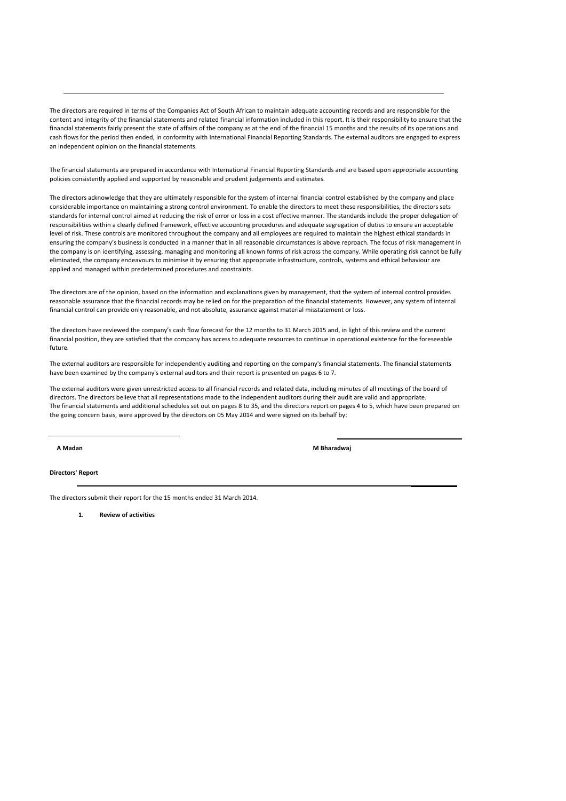The directors are required in terms of the Companies Act of South African to maintain adequate accounting records and are responsible for the content and integrity of the financial statements and related financial information included in this report. It is their responsibility to ensure that the financial statements fairly present the state of affairs of the company as at the end of the financial 15 months and the results of its operations and cash flows for the period then ended, in conformity with International Financial Reporting Standards. The external auditors are engaged to express an independent opinion on the financial statements.

The financial statements are prepared in accordance with International Financial Reporting Standards and are based upon appropriate accounting policies consistently applied and supported by reasonable and prudent judgements and estimates.

The directors acknowledge that they are ultimately responsible for the system of internal financial control established by the company and place considerable importance on maintaining a strong control environment. To enable the directors to meet these responsibilities, the directors sets standards for internal control aimed at reducing the risk of error or loss in a cost effective manner. The standards include the proper delegation of responsibilities within a clearly defined framework, effective accounting procedures and adequate segregation of duties to ensure an acceptable level of risk. These controls are monitored throughout the company and all employees are required to maintain the highest ethical standards in ensuring the company's business is conducted in a manner that in all reasonable circumstances is above reproach. The focus of risk management in the company is on identifying, assessing, managing and monitoring all known forms of risk across the company. While operating risk cannot be fully eliminated, the company endeavours to minimise it by ensuring that appropriate infrastructure, controls, systems and ethical behaviour are applied and managed within predetermined procedures and constraints.

The directors are of the opinion, based on the information and explanations given by management, that the system of internal control provides reasonable assurance that the financial records may be relied on for the preparation of the financial statements. However, any system of internal financial control can provide only reasonable, and not absolute, assurance against material misstatement or loss.

The directors have reviewed the company's cash flow forecast for the 12 months to 31 March 2015 and, in light of this review and the current financial position, they are satisfied that the company has access to adequate resources to continue in operational existence for the foreseeable future.

The external auditors are responsible for independently auditing and reporting on the company's financial statements. The financial statements have been examined by the company's external auditors and their report is presented on pages 6 to 7.

The financial statements and additional schedules set out on pages 8 to 35, and the directors report on pages 4 to 5, which have been prepared on the going concern basis, were approved by the directors on 05 May 2014 and were signed on its behalf by: The external auditors were given unrestricted access to all financial records and related data, including minutes of all meetings of the board of directors. The directors believe that all representations made to the independent auditors during their audit are valid and appropriate.

**A Madan M Bharadwaj** 

**Directors' Report**

The directors submit their report for the 15 months ended 31 March 2014.

**1. Review of activities**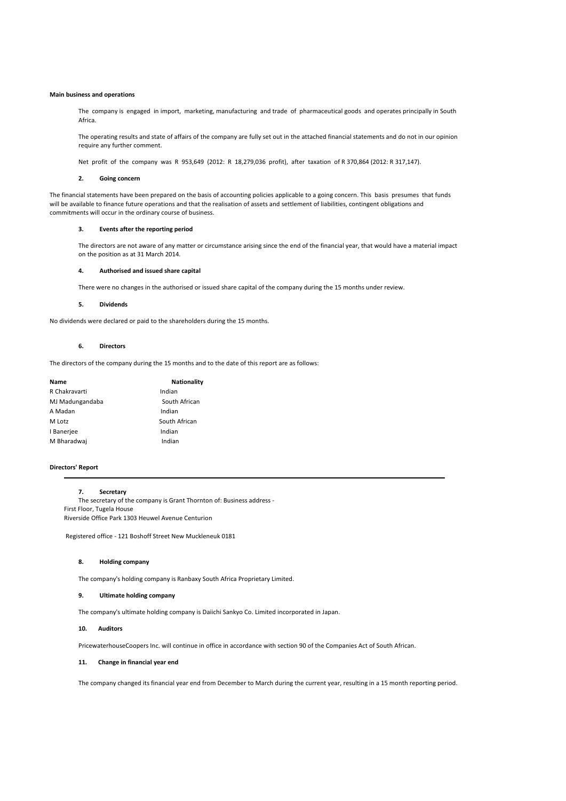#### **Main business and operations**

The company is engaged in import, marketing, manufacturing and trade of pharmaceutical goods and operates principally in South Africa.

The operating results and state of affairs of the company are fully set out in the attached financial statements and do not in our opinion require any further comment.

Net profit of the company was R 953,649 (2012: R 18,279,036 profit), after taxation of R 370,864 (2012: R 317,147).

#### **2. Going concern**

The financial statements have been prepared on the basis of accounting policies applicable to a going concern. This basis presumes that funds will be available to finance future operations and that the realisation of assets and settlement of liabilities, contingent obligations and commitments will occur in the ordinary course of business.

#### **3. Events after the reporting period**

The directors are not aware of any matter or circumstance arising since the end of the financial year, that would have a material impact on the position as at 31 March 2014.

#### **4. Authorised and issued share capital**

There were no changes in the authorised or issued share capital of the company during the 15 months under review.

#### **5. Dividends**

No dividends were declared or paid to the shareholders during the 15 months.

#### **6. Directors**

The directors of the company during the 15 months and to the date of this report are as follows:

| Name            | <b>Nationality</b> |
|-----------------|--------------------|
| R Chakravarti   | Indian             |
| MJ Madungandaba | South African      |
| A Madan         | Indian             |
| M Lotz          | South African      |
| I Banerjee      | Indian             |
| M Bharadwai     | Indian             |
|                 |                    |

#### **Directors' Report**

#### **7. Secretary**

The secretary of the company is Grant Thornton of: Business address - First Floor, Tugela House Riverside Office Park 1303 Heuwel Avenue Centurion

Registered office - 121 Boshoff Street New Muckleneuk 0181

#### **8. Holding company**

The company's holding company is Ranbaxy South Africa Proprietary Limited.

#### **9. Ultimate holding company**

The company's ultimate holding company is Daiichi Sankyo Co. Limited incorporated in Japan.

#### **10. Auditors**

PricewaterhouseCoopers Inc. will continue in office in accordance with section 90 of the Companies Act of South African.

#### **11. Change in financial year end**

The company changed its financial year end from December to March during the current year, resulting in a 15 month reporting period.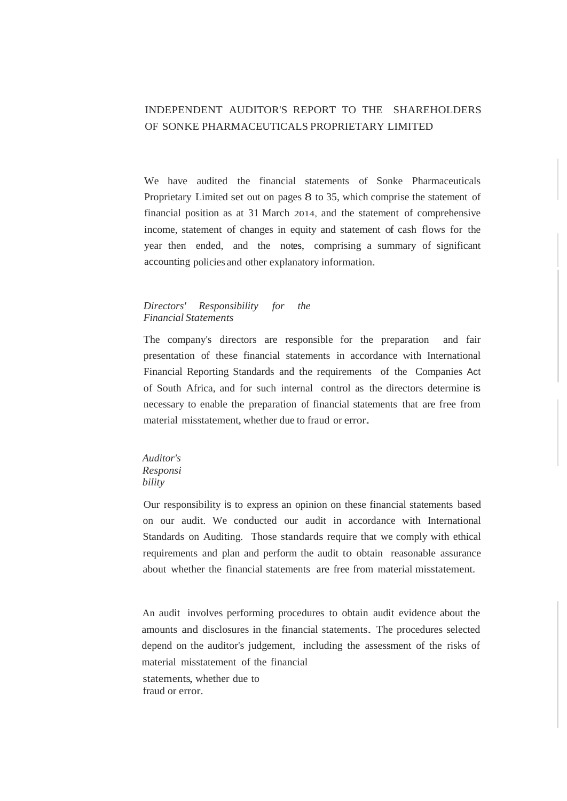# INDEPENDENT AUDITOR'S REPORT TO THE SHAREHOLDERS OF SONKE PHARMACEUTICALS PROPRIETARY LIMITED

We have audited the financial statements of Sonke Pharmaceuticals Proprietary Limited set out on pages 8 to 35, which comprise the statement of financial position as at 31 March 2014, and the statement of comprehensive income, statement of changes in equity and statement of cash flows for the year then ended, and the notes, comprising a summary of significant accounting policies and other explanatory information.

# *Directors' Responsibility for the Financial Statements*

The company's directors are responsible for the preparation and fair presentation of these financial statements in accordance with International Financial Reporting Standards and the requirements of the Companies Act of South Africa, and for such internal control as the directors determine is necessary to enable the preparation of financial statements that are free from material misstatement, whether due to fraud or error.

# *Auditor's Responsi bility*

Our responsibility is to express an opinion on these financial statements based on our audit. We conducted our audit in accordance with International Standards on Auditing. Those standards require that we comply with ethical requirements and plan and perform the audit to obtain reasonable assurance about whether the financial statements are free from material misstatement.

An audit involves performing procedures to obtain audit evidence about the amounts and disclosures in the financial statements. The procedures selected depend on the auditor's judgement, including the assessment of the risks of material misstatement of the financial

statements, whether due to fraud or error.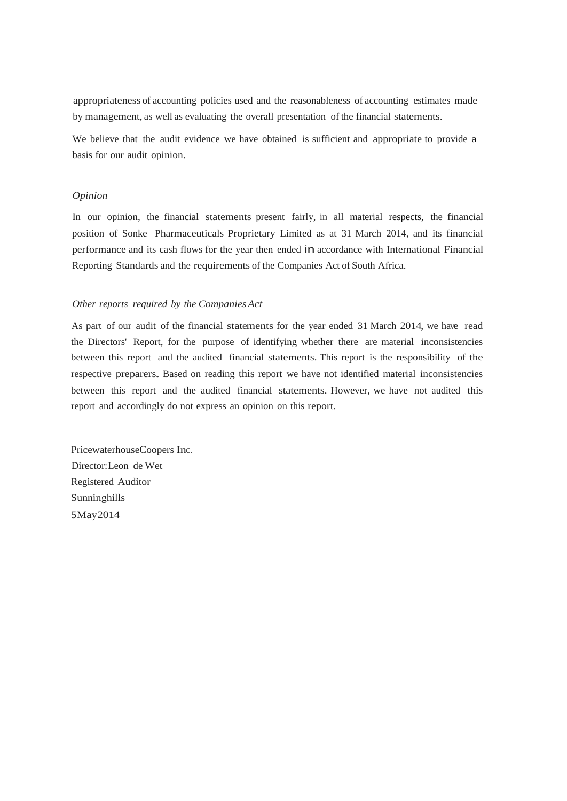appropriateness of accounting policies used and the reasonableness of accounting estimates made by management, as well as evaluating the overall presentation of the financial statements.

We believe that the audit evidence we have obtained is sufficient and appropriate to provide a basis for our audit opinion.

# *Opinion*

In our opinion, the financial statements present fairly, in all material respects, the financial position of Sonke Pharmaceuticals Proprietary Limited as at 31 March 2014, and its financial performance and its cash flows for the year then ended in accordance with International Financial Reporting Standards and the requirements of the Companies Act of South Africa.

## *Other reports required by the Companies Act*

As part of our audit of the financial statements for the year ended 31 March 2014, we have read the Directors' Report, for the purpose of identifying whether there are material inconsistencies between this report and the audited financial statements. This report is the responsibility of the respective preparers. Based on reading this report we have not identified material inconsistencies between this report and the audited financial statements. However, we have not audited this report and accordingly do not express an opinion on this report.

PricewaterhouseCoopers Inc. Director:Leon de Wet Registered Auditor Sunninghills 5May2014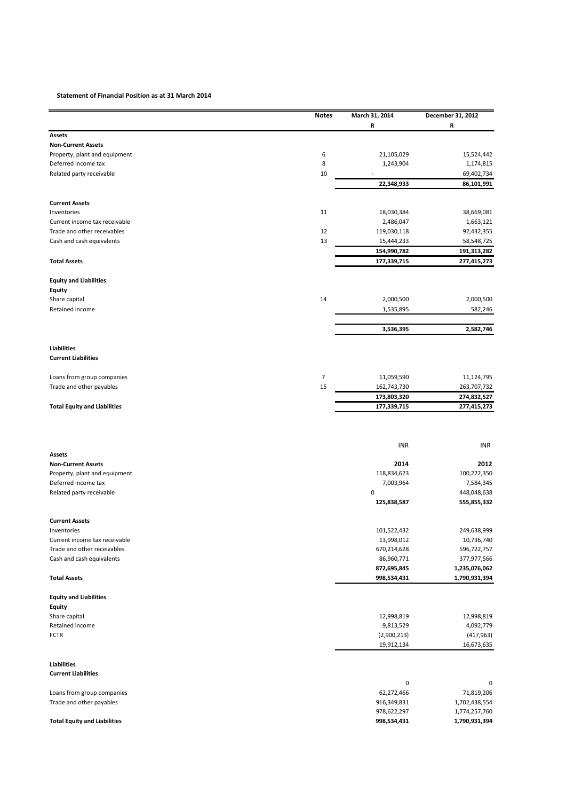## **Statement of Financial Position as at 31 March 2014**

|                                                              | <b>Notes</b> | March 31, 2014             | December 31, 2012              |
|--------------------------------------------------------------|--------------|----------------------------|--------------------------------|
|                                                              |              | R                          | R                              |
| Assets                                                       |              |                            |                                |
| <b>Non-Current Assets</b>                                    | 6            | 21,105,029                 |                                |
| Property, plant and equipment<br>Deferred income tax         | 8            | 1,243,904                  | 15,524,442<br>1,174,815        |
| Related party receivable                                     | 10           |                            | 69,402,734                     |
|                                                              |              | 22,348,933                 | 86,101,991                     |
|                                                              |              |                            |                                |
| <b>Current Assets</b>                                        |              |                            |                                |
| Inventories                                                  | 11           | 18,030,384                 | 38,669,081                     |
| Current income tax receivable<br>Trade and other receivables | 12           | 2,486,047                  | 1,663,121                      |
| Cash and cash equivalents                                    | 13           | 119,030,118<br>15,444,233  | 92,432,355<br>58,548,725       |
|                                                              |              | 154,990,782                | 191,313,282                    |
| <b>Total Assets</b>                                          |              | 177,339,715                | 277,415,273                    |
|                                                              |              |                            |                                |
| <b>Equity and Liabilities</b>                                |              |                            |                                |
| <b>Equity</b>                                                | 14           |                            | 2,000,500                      |
| Share capital<br>Retained income                             |              | 2,000,500                  | 582,246                        |
|                                                              |              | 1,535,895                  |                                |
|                                                              |              | 3,536,395                  | 2,582,746                      |
|                                                              |              |                            |                                |
| Liabilities<br><b>Current Liabilities</b>                    |              |                            |                                |
|                                                              |              |                            |                                |
| Loans from group companies                                   | 7            | 11,059,590                 | 11,124,795                     |
| Trade and other payables                                     | 15           | 162,743,730                | 263,707,732                    |
|                                                              |              | 173,803,320                | 274,832,527                    |
| <b>Total Equity and Liabilities</b>                          |              | 177,339,715                | 277,415,273                    |
|                                                              |              |                            |                                |
|                                                              |              | <b>INR</b>                 | <b>INR</b>                     |
| Assets<br><b>Non-Current Assets</b>                          |              | 2014                       | 2012                           |
| Property, plant and equipment                                |              | 118,834,623                | 100,222,350                    |
| Deferred income tax                                          |              | 7,003,964                  | 7,584,345                      |
| Related party receivable                                     |              | 0                          | 448,048,638                    |
|                                                              |              | 125,838,587                | 555,855,332                    |
| <b>Current Assets</b>                                        |              |                            |                                |
| Inventories                                                  |              | 101,522,432                | 249,638,999                    |
| Current income tax receivable                                |              | 13,998,012                 | 10,736,740                     |
| Trade and other receivables                                  |              | 670,214,628                | 596,722,757                    |
| Cash and cash equivalents                                    |              | 86,960,771                 | 377,977,566                    |
|                                                              |              | 872,695,845                | 1,235,076,062                  |
| <b>Total Assets</b>                                          |              | 998,534,431                | 1,790,931,394                  |
| <b>Equity and Liabilities</b>                                |              |                            |                                |
| <b>Equity</b>                                                |              |                            |                                |
| Share capital                                                |              | 12,998,819                 | 12,998,819                     |
| Retained income                                              |              | 9,813,529                  | 4,092,779                      |
| <b>FCTR</b>                                                  |              | (2,900,213)                | (417, 963)                     |
|                                                              |              | 19,912,134                 | 16,673,635                     |
| <b>Liabilities</b>                                           |              |                            |                                |
| <b>Current Liabilities</b>                                   |              |                            |                                |
|                                                              |              | 0                          | 0                              |
| Loans from group companies                                   |              | 62,272,466                 | 71,819,206                     |
| Trade and other payables                                     |              | 916,349,831                | 1,702,438,554                  |
| <b>Total Equity and Liabilities</b>                          |              | 978,622,297<br>998,534,431 | 1,774,257,760<br>1,790,931,394 |
|                                                              |              |                            |                                |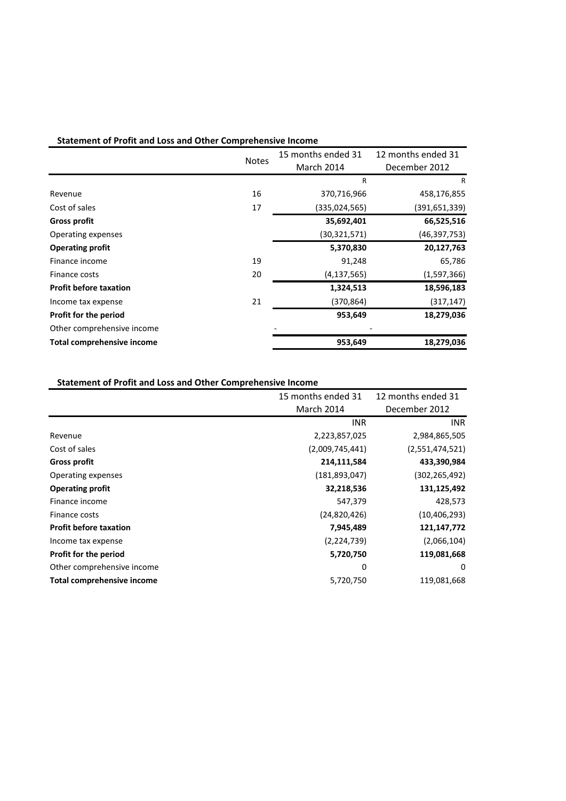| <b>Statement of Profit and Loss and Other Comprehensive Income</b> |  |
|--------------------------------------------------------------------|--|
|--------------------------------------------------------------------|--|

|                                   |              | 15 months ended 31 | 12 months ended 31 |
|-----------------------------------|--------------|--------------------|--------------------|
|                                   | <b>Notes</b> | <b>March 2014</b>  | December 2012      |
|                                   |              | $\mathsf{R}$       | R                  |
| Revenue                           | 16           | 370,716,966        | 458,176,855        |
| Cost of sales                     | 17           | (335,024,565)      | (391, 651, 339)    |
| <b>Gross profit</b>               |              | 35,692,401         | 66,525,516         |
| Operating expenses                |              | (30,321,571)       | (46, 397, 753)     |
| <b>Operating profit</b>           |              | 5,370,830          | 20,127,763         |
| Finance income                    | 19           | 91,248             | 65,786             |
| Finance costs                     | 20           | (4, 137, 565)      | (1,597,366)        |
| <b>Profit before taxation</b>     |              | 1,324,513          | 18,596,183         |
| Income tax expense                | 21           | (370,864)          | (317, 147)         |
| Profit for the period             |              | 953,649            | 18,279,036         |
| Other comprehensive income        |              |                    |                    |
| <b>Total comprehensive income</b> |              | 953,649            | 18,279,036         |

# **Statement of Profit and Loss and Other Comprehensive Income**

|                                   | 15 months ended 31 | 12 months ended 31 |
|-----------------------------------|--------------------|--------------------|
|                                   | March 2014         | December 2012      |
|                                   | <b>INR</b>         | INR.               |
| Revenue                           | 2,223,857,025      | 2,984,865,505      |
| Cost of sales                     | (2,009,745,441)    | (2,551,474,521)    |
| <b>Gross profit</b>               | 214,111,584        | 433,390,984        |
| Operating expenses                | (181, 893, 047)    | (302,265,492)      |
| <b>Operating profit</b>           | 32,218,536         | 131,125,492        |
| Finance income                    | 547,379            | 428,573            |
| Finance costs                     | (24,820,426)       | (10, 406, 293)     |
| <b>Profit before taxation</b>     | 7,945,489          | 121,147,772        |
| Income tax expense                | (2,224,739)        | (2,066,104)        |
| Profit for the period             | 5,720,750          | 119,081,668        |
| Other comprehensive income        | 0                  | $\Omega$           |
| <b>Total comprehensive income</b> | 5,720,750          | 119,081,668        |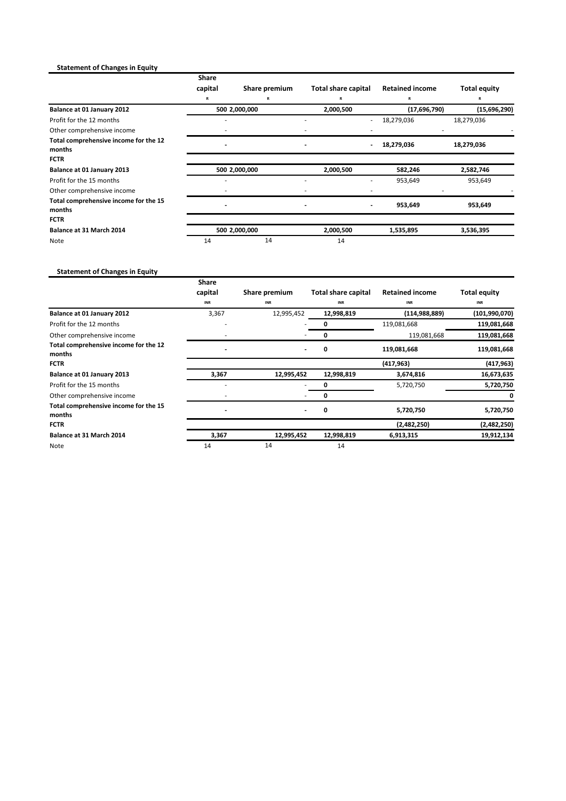# **Statement of Changes in Equity**

|                                                 | <b>Share</b><br>capital | Share premium      | <b>Total share capital</b> | <b>Retained income</b> | <b>Total equity</b> |
|-------------------------------------------------|-------------------------|--------------------|----------------------------|------------------------|---------------------|
|                                                 |                         |                    |                            |                        |                     |
| Balance at 01 January 2012                      | R                       | R<br>500 2,000,000 | R<br>2,000,500             | (17,696,790)           | R<br>(15,696,290)   |
| Profit for the 12 months                        |                         |                    |                            | 18,279,036             | 18,279,036          |
| Other comprehensive income                      |                         |                    |                            |                        |                     |
| Total comprehensive income for the 12<br>months |                         |                    |                            | 18,279,036             | 18,279,036          |
| <b>FCTR</b>                                     |                         |                    |                            |                        |                     |
| Balance at 01 January 2013                      |                         | 500 2,000,000      | 2,000,500                  | 582,246                | 2,582,746           |
| Profit for the 15 months                        |                         |                    |                            | 953,649                | 953,649             |
| Other comprehensive income                      |                         |                    |                            |                        |                     |
| Total comprehensive income for the 15<br>months |                         |                    |                            | 953,649                | 953,649             |
| <b>FCTR</b>                                     |                         |                    |                            |                        |                     |
| Balance at 31 March 2014                        |                         | 500 2,000,000      | 2,000,500                  | 1,535,895              | 3,536,395           |
| Note                                            | 14                      | 14                 | 14                         |                        |                     |

# **Statement of Changes in Equity**

|                                                 | <b>Share</b><br>capital  | Share premium | <b>Total share capital</b> | <b>Retained income</b> | <b>Total equity</b> |
|-------------------------------------------------|--------------------------|---------------|----------------------------|------------------------|---------------------|
|                                                 | INR                      | INR           | <b>INR</b>                 | <b>INR</b>             | <b>INR</b>          |
| Balance at 01 January 2012                      | 3,367                    | 12,995,452    | 12,998,819                 | (114, 988, 889)        | (101,990,070)       |
| Profit for the 12 months                        |                          |               | 0                          | 119,081,668            | 119,081,668         |
| Other comprehensive income                      |                          |               | 0                          | 119,081,668            | 119,081,668         |
| Total comprehensive income for the 12<br>months |                          |               | 0                          | 119,081,668            | 119,081,668         |
| <b>FCTR</b>                                     |                          |               |                            | (417, 963)             | (417, 963)          |
| Balance at 01 January 2013                      | 3,367                    | 12,995,452    | 12,998,819                 | 3,674,816              | 16,673,635          |
| Profit for the 15 months                        |                          |               | 0                          | 5,720,750              | 5,720,750           |
| Other comprehensive income                      |                          |               | 0                          |                        |                     |
| Total comprehensive income for the 15<br>months | $\overline{\phantom{a}}$ |               | 0                          | 5,720,750              | 5,720,750           |
| <b>FCTR</b>                                     |                          |               |                            | (2,482,250)            | (2,482,250)         |
| Balance at 31 March 2014                        | 3,367                    | 12,995,452    | 12,998,819                 | 6,913,315              | 19,912,134          |
| Note                                            | 14                       | 14            | 14                         |                        |                     |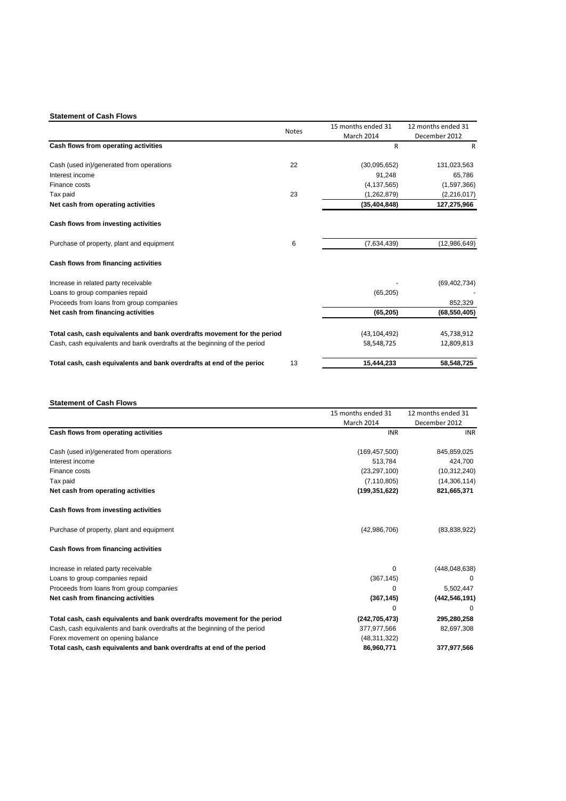## **Statement of Cash Flows**

|    | 15 months ended 31                                                                       | 12 months ended 31 |
|----|------------------------------------------------------------------------------------------|--------------------|
|    | March 2014                                                                               | December 2012      |
|    | R                                                                                        | $\mathsf{R}$       |
| 22 | (30,095,652)                                                                             | 131,023,563        |
|    | 91,248                                                                                   | 65,786             |
|    | (4, 137, 565)                                                                            | (1,597,366)        |
| 23 | (1,262,879)                                                                              | (2, 216, 017)      |
|    | (35, 404, 848)                                                                           | 127,275,966        |
|    |                                                                                          |                    |
| 6  | (7,634,439)                                                                              | (12,986,649)       |
|    |                                                                                          |                    |
|    |                                                                                          | (69, 402, 734)     |
|    | (65, 205)                                                                                |                    |
|    |                                                                                          | 852,329            |
|    | (65, 205)                                                                                | (68, 550, 405)     |
|    | (43, 104, 492)                                                                           | 45,738,912         |
|    | 58,548,725                                                                               | 12,809,813         |
| 13 | 15,444,233                                                                               | 58,548,725         |
|    | <b>Notes</b><br>Total cash, cash equivalents and bank overdrafts movement for the period |                    |

## **Statement of Cash Flows**

|                                                                           | 15 months ended 31 | 12 months ended 31 |
|---------------------------------------------------------------------------|--------------------|--------------------|
|                                                                           | March 2014         | December 2012      |
| Cash flows from operating activities                                      | <b>INR</b>         | <b>INR</b>         |
| Cash (used in)/generated from operations                                  | (169, 457, 500)    | 845,859,025        |
| Interest income                                                           | 513,784            | 424,700            |
| Finance costs                                                             | (23, 297, 100)     | (10, 312, 240)     |
| Tax paid                                                                  | (7, 110, 805)      | (14,306,114)       |
| Net cash from operating activities                                        | (199, 351, 622)    | 821,665,371        |
| Cash flows from investing activities                                      |                    |                    |
| Purchase of property, plant and equipment                                 | (42,986,706)       | (83,838,922)       |
| Cash flows from financing activities                                      |                    |                    |
| Increase in related party receivable                                      | 0                  | (448, 048, 638)    |
| Loans to group companies repaid                                           | (367, 145)         |                    |
| Proceeds from loans from group companies                                  | 0                  | 5,502,447          |
| Net cash from financing activities                                        | (367, 145)         | (442, 546, 191)    |
|                                                                           | 0                  | 0                  |
| Total cash, cash equivalents and bank overdrafts movement for the period  | (242, 705, 473)    | 295,280,258        |
| Cash, cash equivalents and bank overdrafts at the beginning of the period | 377,977,566        | 82,697,308         |
| Forex movement on opening balance                                         | (48, 311, 322)     |                    |
| Total cash, cash equivalents and bank overdrafts at end of the period     | 86,960,771         | 377,977,566        |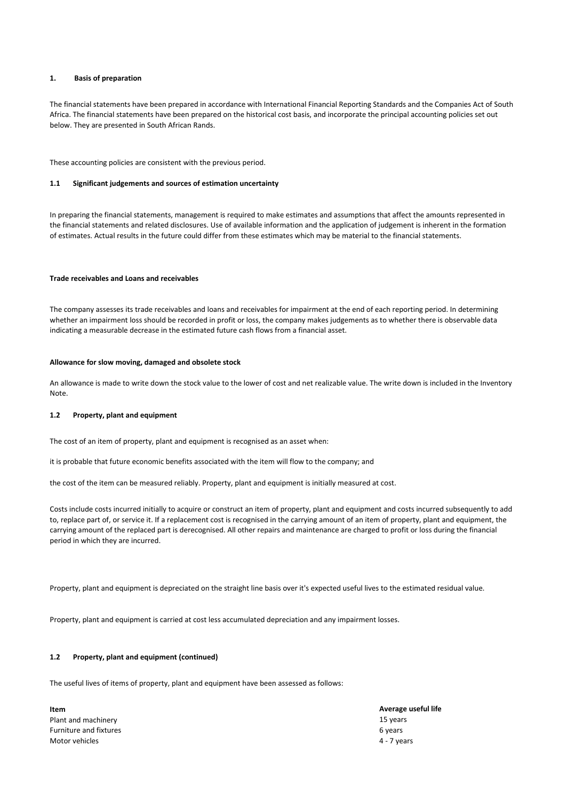## **1. Basis of preparation**

The financial statements have been prepared in accordance with International Financial Reporting Standards and the Companies Act of South Africa. The financial statements have been prepared on the historical cost basis, and incorporate the principal accounting policies set out below. They are presented in South African Rands.

These accounting policies are consistent with the previous period.

#### **1.1 Significant judgements and sources of estimation uncertainty**

In preparing the financial statements, management is required to make estimates and assumptions that affect the amounts represented in the financial statements and related disclosures. Use of available information and the application of judgement is inherent in the formation of estimates. Actual results in the future could differ from these estimates which may be material to the financial statements.

## **Trade receivables and Loans and receivables**

The company assesses its trade receivables and loans and receivables for impairment at the end of each reporting period. In determining whether an impairment loss should be recorded in profit or loss, the company makes judgements as to whether there is observable data indicating a measurable decrease in the estimated future cash flows from a financial asset.

#### **Allowance for slow moving, damaged and obsolete stock**

An allowance is made to write down the stock value to the lower of cost and net realizable value. The write down is included in the Inventory Note.

#### **1.2 Property, plant and equipment**

The cost of an item of property, plant and equipment is recognised as an asset when:

it is probable that future economic benefits associated with the item will flow to the company; and

the cost of the item can be measured reliably. Property, plant and equipment is initially measured at cost.

Costs include costs incurred initially to acquire or construct an item of property, plant and equipment and costs incurred subsequently to add to, replace part of, or service it. If a replacement cost is recognised in the carrying amount of an item of property, plant and equipment, the carrying amount of the replaced part is derecognised. All other repairs and maintenance are charged to profit or loss during the financial period in which they are incurred.

Property, plant and equipment is depreciated on the straight line basis over it's expected useful lives to the estimated residual value.

Property, plant and equipment is carried at cost less accumulated depreciation and any impairment losses.

## **1.2 Property, plant and equipment (continued)**

The useful lives of items of property, plant and equipment have been assessed as follows:

**Item Average useful life** Plant and machinery 15 years 15 years 15 years 16 years 16 years 16 years 16 years 16 years 16 years 16 years 16 years 16 years 16 years 16 years 16 years 16 years 16 years 16 years 16 years 16 years 16 years 16 years 16 y Furniture and fixtures 6 years Motor vehicles 4 - 7 years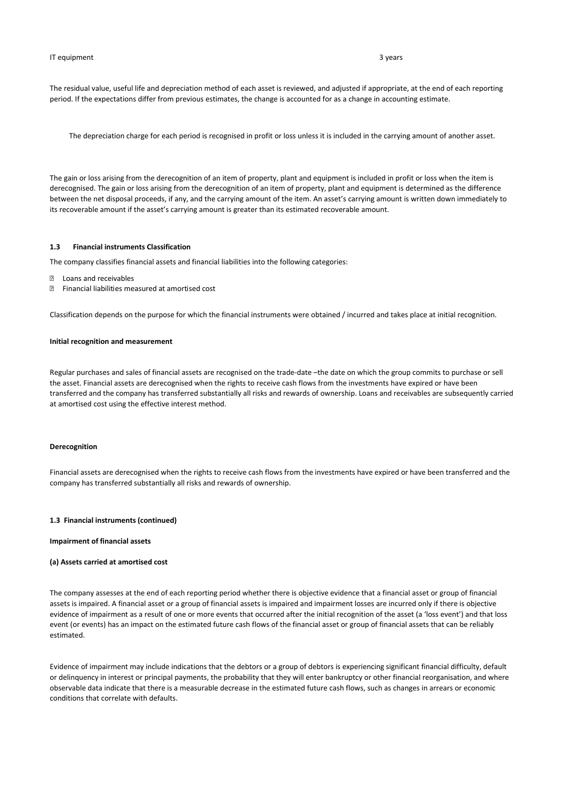#### IT equipment 3 years 3 3 years 3 years 3 years 3 years 3 years 3 years 3 years 3 years 3 years 3 years 3 years 3 years 3 years 3 years 3 years 3 years 3 years 3 years 3 years 3 years 3 years 3 years 3 years 3 years 3 years

The residual value, useful life and depreciation method of each asset is reviewed, and adjusted if appropriate, at the end of each reporting period. If the expectations differ from previous estimates, the change is accounted for as a change in accounting estimate.

The depreciation charge for each period is recognised in profit or loss unless it is included in the carrying amount of another asset.

The gain or loss arising from the derecognition of an item of property, plant and equipment is included in profit or loss when the item is derecognised. The gain or loss arising from the derecognition of an item of property, plant and equipment is determined as the difference between the net disposal proceeds, if any, and the carrying amount of the item. An asset's carrying amount is written down immediately to its recoverable amount if the asset's carrying amount is greater than its estimated recoverable amount.

## **1.3 Financial instruments Classification**

The company classifies financial assets and financial liabilities into the following categories:

- Ÿ Loans and receivables
- Ÿ Financial liabilities measured at amortised cost

Classification depends on the purpose for which the financial instruments were obtained / incurred and takes place at initial recognition.

#### **Initial recognition and measurement**

Regular purchases and sales of financial assets are recognised on the trade-date –the date on which the group commits to purchase or sell the asset. Financial assets are derecognised when the rights to receive cash flows from the investments have expired or have been transferred and the company has transferred substantially all risks and rewards of ownership. Loans and receivables are subsequently carried at amortised cost using the effective interest method.

## **Derecognition**

Financial assets are derecognised when the rights to receive cash flows from the investments have expired or have been transferred and the company has transferred substantially all risks and rewards of ownership.

#### **1.3 Financial instruments (continued)**

#### **Impairment of financial assets**

#### **(a) Assets carried at amortised cost**

The company assesses at the end of each reporting period whether there is objective evidence that a financial asset or group of financial assets is impaired. A financial asset or a group of financial assets is impaired and impairment losses are incurred only if there is objective evidence of impairment as a result of one or more events that occurred after the initial recognition of the asset (a 'loss event') and that loss event (or events) has an impact on the estimated future cash flows of the financial asset or group of financial assets that can be reliably estimated.

Evidence of impairment may include indications that the debtors or a group of debtors is experiencing significant financial difficulty, default or delinquency in interest or principal payments, the probability that they will enter bankruptcy or other financial reorganisation, and where observable data indicate that there is a measurable decrease in the estimated future cash flows, such as changes in arrears or economic conditions that correlate with defaults.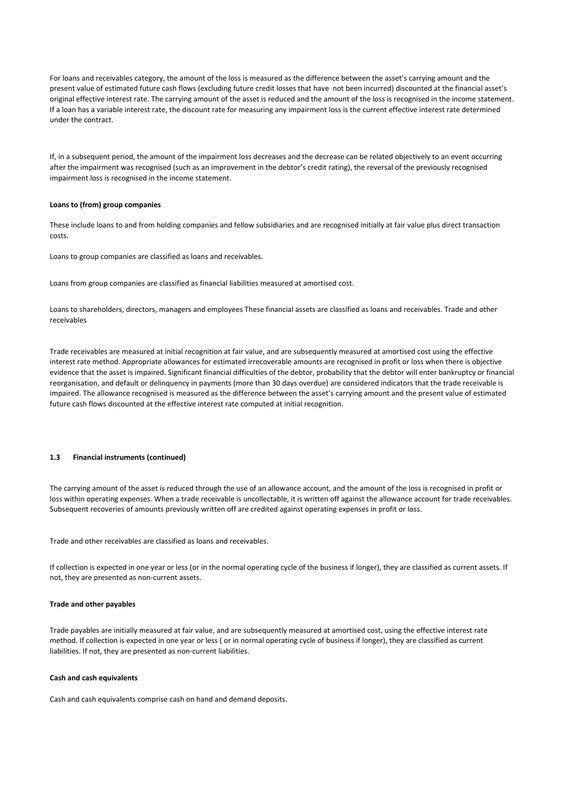For loans and receivables category, the amount of the loss is measured as the difference between the asset's carrying amount and the present value of estimated future cash flows (excluding future credit losses that have not been incurred) discounted at the financial asset's original effective interest rate. The carrying amount of the asset is reduced and the amount of the loss is recognised in the income statement. If a loan has a variable interest rate, the discount rate for measuring any impairment loss is the current effective interest rate determined under the contract.

If, in a subsequent period, the amount of the impairment loss decreases and the decrease can be related objectively to an event occurring after the impairment was recognised (such as an improvement in the debtor's credit rating), the reversal of the previously recognised impairment loss is recognised in the income statement.

#### **Loans to (from) group companies**

These include loans to and from holding companies and fellow subsidiaries and are recognised initially at fair value plus direct transaction costs.

Loans to group companies are classified as loans and receivables.

Loans from group companies are classified as financial liabilities measured at amortised cost.

Loans to shareholders, directors, managers and employees These financial assets are classified as loans and receivables. Trade and other receivables

Trade receivables are measured at initial recognition at fair value, and are subsequently measured at amortised cost using the effective interest rate method. Appropriate allowances for estimated irrecoverable amounts are recognised in profit or loss when there is objective evidence that the asset is impaired. Significant financial difficulties of the debtor, probability that the debtor will enter bankruptcy or financial reorganisation, and default or delinquency in payments (more than 30 days overdue) are considered indicators that the trade receivable is impaired. The allowance recognised is measured as the difference between the asset's carrying amount and the present value of estimated future cash flows discounted at the effective interest rate computed at initial recognition.

## **1.3 Financial instruments (continued)**

The carrying amount of the asset is reduced through the use of an allowance account, and the amount of the loss is recognised in profit or loss within operating expenses. When a trade receivable is uncollectable, it is written off against the allowance account for trade receivables. Subsequent recoveries of amounts previously written off are credited against operating expenses in profit or loss.

Trade and other receivables are classified as loans and receivables.

If collection is expected in one year or less (or in the normal operating cycle of the business if longer), they are classified as current assets. If not, they are presented as non-current assets.

#### **Trade and other payables**

Trade payables are initially measured at fair value, and are subsequently measured at amortised cost, using the effective interest rate method. If collection is expected in one year or less ( or in normal operating cycle of business if longer), they are classified as current liabilities. If not, they are presented as non-current liabilities.

### **Cash and cash equivalents**

Cash and cash equivalents comprise cash on hand and demand deposits.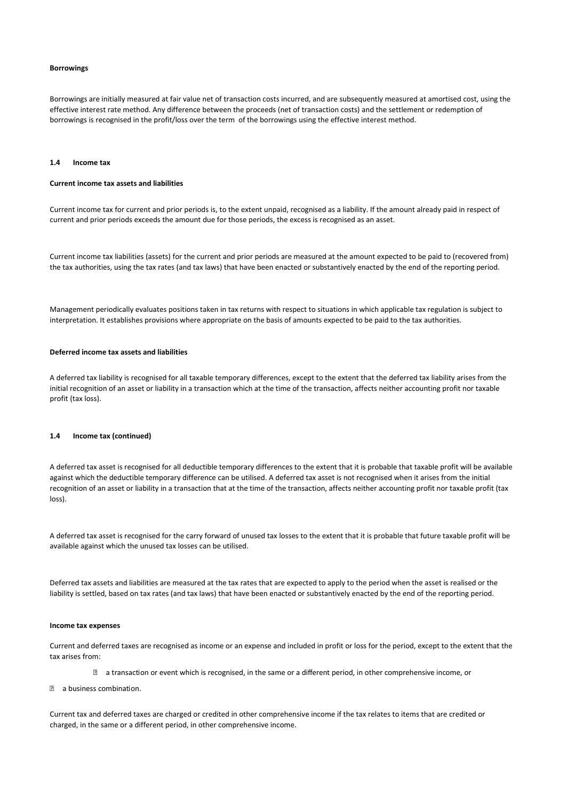#### **Borrowings**

Borrowings are initially measured at fair value net of transaction costs incurred, and are subsequently measured at amortised cost, using the effective interest rate method. Any difference between the proceeds (net of transaction costs) and the settlement or redemption of borrowings is recognised in the profit/loss over the term of the borrowings using the effective interest method.

#### **1.4 Income tax**

#### **Current income tax assets and liabilities**

Current income tax for current and prior periods is, to the extent unpaid, recognised as a liability. If the amount already paid in respect of current and prior periods exceeds the amount due for those periods, the excess is recognised as an asset.

Current income tax liabilities (assets) for the current and prior periods are measured at the amount expected to be paid to (recovered from) the tax authorities, using the tax rates (and tax laws) that have been enacted or substantively enacted by the end of the reporting period.

Management periodically evaluates positions taken in tax returns with respect to situations in which applicable tax regulation is subject to interpretation. It establishes provisions where appropriate on the basis of amounts expected to be paid to the tax authorities.

#### **Deferred income tax assets and liabilities**

A deferred tax liability is recognised for all taxable temporary differences, except to the extent that the deferred tax liability arises from the initial recognition of an asset or liability in a transaction which at the time of the transaction, affects neither accounting profit nor taxable profit (tax loss).

## **1.4 Income tax (continued)**

A deferred tax asset is recognised for all deductible temporary differences to the extent that it is probable that taxable profit will be available against which the deductible temporary difference can be utilised. A deferred tax asset is not recognised when it arises from the initial recognition of an asset or liability in a transaction that at the time of the transaction, affects neither accounting profit nor taxable profit (tax loss).

A deferred tax asset is recognised for the carry forward of unused tax losses to the extent that it is probable that future taxable profit will be available against which the unused tax losses can be utilised.

Deferred tax assets and liabilities are measured at the tax rates that are expected to apply to the period when the asset is realised or the liability is settled, based on tax rates (and tax laws) that have been enacted or substantively enacted by the end of the reporting period.

#### **Income tax expenses**

Current and deferred taxes are recognised as income or an expense and included in profit or loss for the period, except to the extent that the tax arises from:

 $\ddot{Y}$  a transaction or event which is recognised, in the same or a different period, in other comprehensive income, or

Ÿ a business combination.

Current tax and deferred taxes are charged or credited in other comprehensive income if the tax relates to items that are credited or charged, in the same or a different period, in other comprehensive income.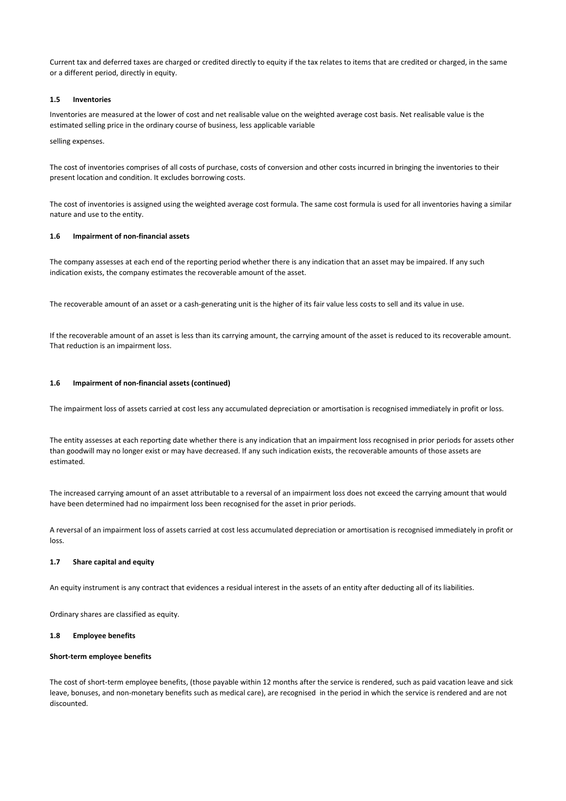Current tax and deferred taxes are charged or credited directly to equity if the tax relates to items that are credited or charged, in the same or a different period, directly in equity.

## **1.5 Inventories**

Inventories are measured at the lower of cost and net realisable value on the weighted average cost basis. Net realisable value is the estimated selling price in the ordinary course of business, less applicable variable

selling expenses.

The cost of inventories comprises of all costs of purchase, costs of conversion and other costs incurred in bringing the inventories to their present location and condition. It excludes borrowing costs.

The cost of inventories is assigned using the weighted average cost formula. The same cost formula is used for all inventories having a similar nature and use to the entity.

#### **1.6 Impairment of non-financial assets**

The company assesses at each end of the reporting period whether there is any indication that an asset may be impaired. If any such indication exists, the company estimates the recoverable amount of the asset.

The recoverable amount of an asset or a cash-generating unit is the higher of its fair value less costs to sell and its value in use.

If the recoverable amount of an asset is less than its carrying amount, the carrying amount of the asset is reduced to its recoverable amount. That reduction is an impairment loss.

## **1.6 Impairment of non-financial assets (continued)**

The impairment loss of assets carried at cost less any accumulated depreciation or amortisation is recognised immediately in profit or loss.

The entity assesses at each reporting date whether there is any indication that an impairment loss recognised in prior periods for assets other than goodwill may no longer exist or may have decreased. If any such indication exists, the recoverable amounts of those assets are estimated.

The increased carrying amount of an asset attributable to a reversal of an impairment loss does not exceed the carrying amount that would have been determined had no impairment loss been recognised for the asset in prior periods.

A reversal of an impairment loss of assets carried at cost less accumulated depreciation or amortisation is recognised immediately in profit or loss.

#### **1.7 Share capital and equity**

An equity instrument is any contract that evidences a residual interest in the assets of an entity after deducting all of its liabilities.

Ordinary shares are classified as equity.

#### **1.8 Employee benefits**

#### **Short-term employee benefits**

The cost of short-term employee benefits, (those payable within 12 months after the service is rendered, such as paid vacation leave and sick leave, bonuses, and non-monetary benefits such as medical care), are recognised in the period in which the service is rendered and are not discounted.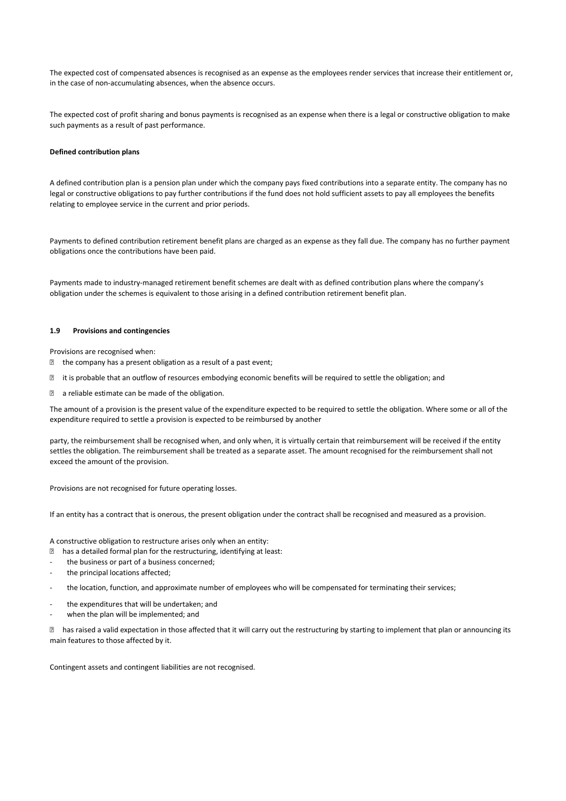The expected cost of compensated absences is recognised as an expense as the employees render services that increase their entitlement or, in the case of non-accumulating absences, when the absence occurs.

The expected cost of profit sharing and bonus payments is recognised as an expense when there is a legal or constructive obligation to make such payments as a result of past performance.

## **Defined contribution plans**

A defined contribution plan is a pension plan under which the company pays fixed contributions into a separate entity. The company has no legal or constructive obligations to pay further contributions if the fund does not hold sufficient assets to pay all employees the benefits relating to employee service in the current and prior periods.

Payments to defined contribution retirement benefit plans are charged as an expense as they fall due. The company has no further payment obligations once the contributions have been paid.

Payments made to industry-managed retirement benefit schemes are dealt with as defined contribution plans where the company's obligation under the schemes is equivalent to those arising in a defined contribution retirement benefit plan.

### **1.9 Provisions and contingencies**

Provisions are recognised when:

- $\ddot{Y}$  the company has a present obligation as a result of a past event;
- $\ddot{Y}$  it is probable that an outflow of resources embodying economic benefits will be required to settle the obligation; and
- $\ddot{Y}$  a reliable estimate can be made of the obligation.

The amount of a provision is the present value of the expenditure expected to be required to settle the obligation. Where some or all of the expenditure required to settle a provision is expected to be reimbursed by another

party, the reimbursement shall be recognised when, and only when, it is virtually certain that reimbursement will be received if the entity settles the obligation. The reimbursement shall be treated as a separate asset. The amount recognised for the reimbursement shall not exceed the amount of the provision.

Provisions are not recognised for future operating losses.

If an entity has a contract that is onerous, the present obligation under the contract shall be recognised and measured as a provision.

A constructive obligation to restructure arises only when an entity:

- Ÿ has a detailed formal plan for the restructuring, identifying at least:
- the business or part of a business concerned;
- the principal locations affected;
- the location, function, and approximate number of employees who will be compensated for terminating their services;
- the expenditures that will be undertaken; and
- when the plan will be implemented; and

 $\ddot{Y}$  has raised a valid expectation in those affected that it will carry out the restructuring by starting to implement that plan or announcing its main features to those affected by it.

Contingent assets and contingent liabilities are not recognised.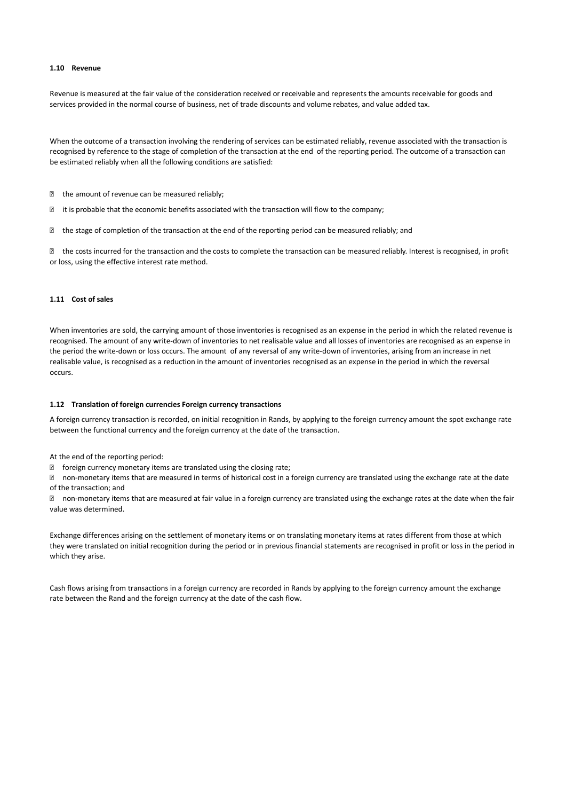## **1.10 Revenue**

Revenue is measured at the fair value of the consideration received or receivable and represents the amounts receivable for goods and services provided in the normal course of business, net of trade discounts and volume rebates, and value added tax.

When the outcome of a transaction involving the rendering of services can be estimated reliably, revenue associated with the transaction is recognised by reference to the stage of completion of the transaction at the end of the reporting period. The outcome of a transaction can be estimated reliably when all the following conditions are satisfied:

- $\ddot{Y}$  the amount of revenue can be measured reliably;
- $\ddot{Y}$  it is probable that the economic benefits associated with the transaction will flow to the company;
- $\ddot{Y}$  the stage of completion of the transaction at the end of the reporting period can be measured reliably; and

 $\ddot{Y}$  the costs incurred for the transaction and the costs to complete the transaction can be measured reliably. Interest is recognised, in profit or loss, using the effective interest rate method.

## **1.11 Cost of sales**

When inventories are sold, the carrying amount of those inventories is recognised as an expense in the period in which the related revenue is recognised. The amount of any write-down of inventories to net realisable value and all losses of inventories are recognised as an expense in the period the write-down or loss occurs. The amount of any reversal of any write-down of inventories, arising from an increase in net realisable value, is recognised as a reduction in the amount of inventories recognised as an expense in the period in which the reversal occurs.

#### **1.12 Translation of foreign currencies Foreign currency transactions**

A foreign currency transaction is recorded, on initial recognition in Rands, by applying to the foreign currency amount the spot exchange rate between the functional currency and the foreign currency at the date of the transaction.

At the end of the reporting period:

 $\ddot{Y}$  foreign currency monetary items are translated using the closing rate;

 $\ddot{Y}$  non-monetary items that are measured in terms of historical cost in a foreign currency are translated using the exchange rate at the date of the transaction; and

 $\ddot{Y}$  non-monetary items that are measured at fair value in a foreign currency are translated using the exchange rates at the date when the fair value was determined.

Exchange differences arising on the settlement of monetary items or on translating monetary items at rates different from those at which they were translated on initial recognition during the period or in previous financial statements are recognised in profit or loss in the period in which they arise.

Cash flows arising from transactions in a foreign currency are recorded in Rands by applying to the foreign currency amount the exchange rate between the Rand and the foreign currency at the date of the cash flow.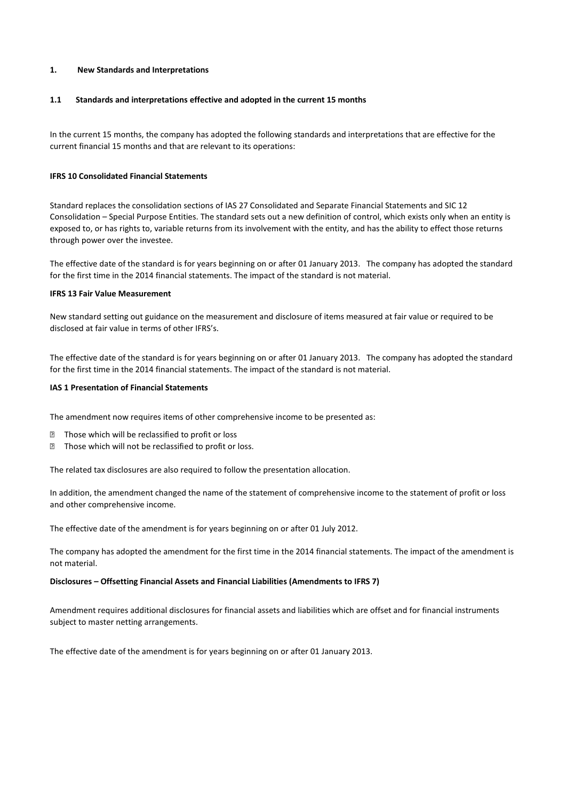## **1. New Standards and Interpretations**

## **1.1 Standards and interpretations effective and adopted in the current 15 months**

In the current 15 months, the company has adopted the following standards and interpretations that are effective for the current financial 15 months and that are relevant to its operations:

## **IFRS 10 Consolidated Financial Statements**

Standard replaces the consolidation sections of IAS 27 Consolidated and Separate Financial Statements and SIC 12 Consolidation – Special Purpose Entities. The standard sets out a new definition of control, which exists only when an entity is exposed to, or has rights to, variable returns from its involvement with the entity, and has the ability to effect those returns through power over the investee.

The effective date of the standard is for years beginning on or after 01 January 2013. The company has adopted the standard for the first time in the 2014 financial statements. The impact of the standard is not material.

## **IFRS 13 Fair Value Measurement**

New standard setting out guidance on the measurement and disclosure of items measured at fair value or required to be disclosed at fair value in terms of other IFRS's.

The effective date of the standard is for years beginning on or after 01 January 2013. The company has adopted the standard for the first time in the 2014 financial statements. The impact of the standard is not material.

## **IAS 1 Presentation of Financial Statements**

The amendment now requires items of other comprehensive income to be presented as:

- $\ddot{Y}$  Those which will be reclassified to profit or loss
- $\hat{Y}$  Those which will not be reclassified to profit or loss.

The related tax disclosures are also required to follow the presentation allocation.

In addition, the amendment changed the name of the statement of comprehensive income to the statement of profit or loss and other comprehensive income.

The effective date of the amendment is for years beginning on or after 01 July 2012.

The company has adopted the amendment for the first time in the 2014 financial statements. The impact of the amendment is not material.

## **Disclosures – Offsetting Financial Assets and Financial Liabilities (Amendments to IFRS 7)**

Amendment requires additional disclosures for financial assets and liabilities which are offset and for financial instruments subject to master netting arrangements.

The effective date of the amendment is for years beginning on or after 01 January 2013.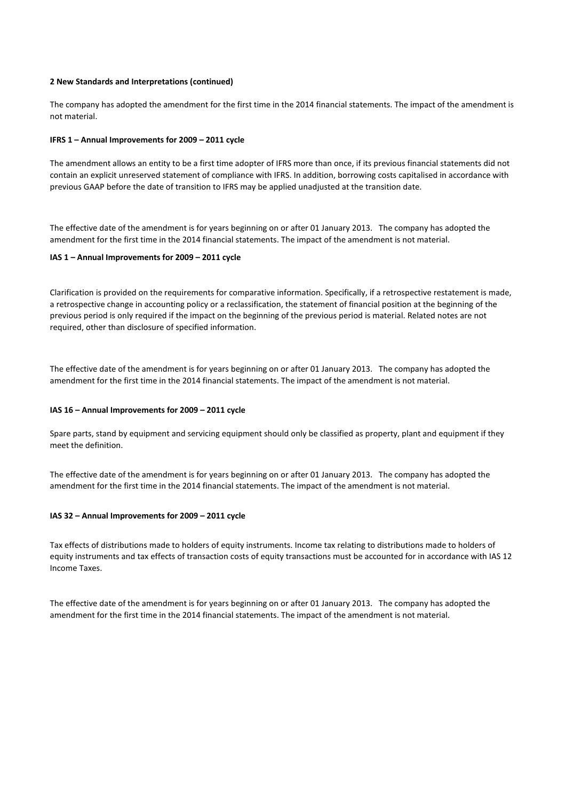## **2 New Standards and Interpretations (continued)**

The company has adopted the amendment for the first time in the 2014 financial statements. The impact of the amendment is not material.

## **IFRS 1 – Annual Improvements for 2009 – 2011 cycle**

The amendment allows an entity to be a first time adopter of IFRS more than once, if its previous financial statements did not contain an explicit unreserved statement of compliance with IFRS. In addition, borrowing costs capitalised in accordance with previous GAAP before the date of transition to IFRS may be applied unadjusted at the transition date.

The effective date of the amendment is for years beginning on or after 01 January 2013. The company has adopted the amendment for the first time in the 2014 financial statements. The impact of the amendment is not material.

## **IAS 1 – Annual Improvements for 2009 – 2011 cycle**

Clarification is provided on the requirements for comparative information. Specifically, if a retrospective restatement is made, a retrospective change in accounting policy or a reclassification, the statement of financial position at the beginning of the previous period is only required if the impact on the beginning of the previous period is material. Related notes are not required, other than disclosure of specified information.

The effective date of the amendment is for years beginning on or after 01 January 2013. The company has adopted the amendment for the first time in the 2014 financial statements. The impact of the amendment is not material.

## **IAS 16 – Annual Improvements for 2009 – 2011 cycle**

Spare parts, stand by equipment and servicing equipment should only be classified as property, plant and equipment if they meet the definition.

The effective date of the amendment is for years beginning on or after 01 January 2013. The company has adopted the amendment for the first time in the 2014 financial statements. The impact of the amendment is not material.

## **IAS 32 – Annual Improvements for 2009 – 2011 cycle**

Tax effects of distributions made to holders of equity instruments. Income tax relating to distributions made to holders of equity instruments and tax effects of transaction costs of equity transactions must be accounted for in accordance with IAS 12 Income Taxes.

The effective date of the amendment is for years beginning on or after 01 January 2013. The company has adopted the amendment for the first time in the 2014 financial statements. The impact of the amendment is not material.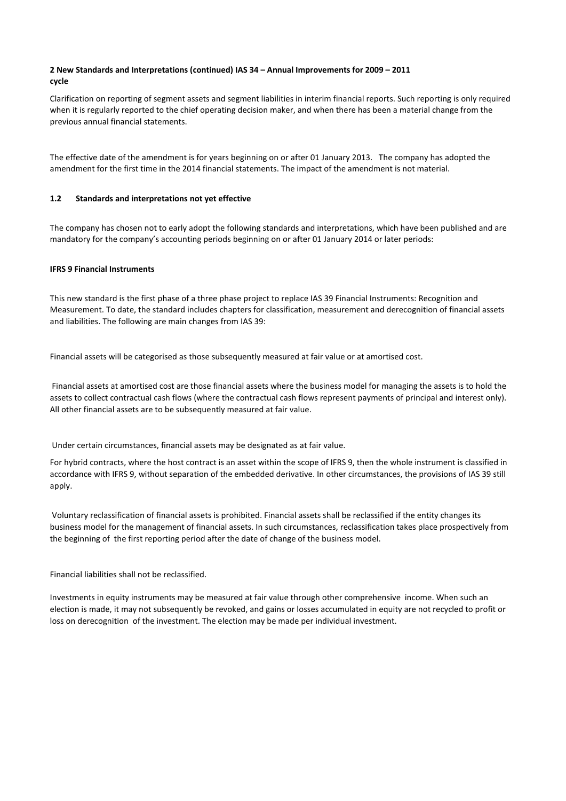# **2 New Standards and Interpretations (continued) IAS 34 – Annual Improvements for 2009 – 2011 cycle**

Clarification on reporting of segment assets and segment liabilities in interim financial reports. Such reporting is only required when it is regularly reported to the chief operating decision maker, and when there has been a material change from the previous annual financial statements.

The effective date of the amendment is for years beginning on or after 01 January 2013. The company has adopted the amendment for the first time in the 2014 financial statements. The impact of the amendment is not material.

## **1.2 Standards and interpretations not yet effective**

The company has chosen not to early adopt the following standards and interpretations, which have been published and are mandatory for the company's accounting periods beginning on or after 01 January 2014 or later periods:

## **IFRS 9 Financial Instruments**

This new standard is the first phase of a three phase project to replace IAS 39 Financial Instruments: Recognition and Measurement. To date, the standard includes chapters for classification, measurement and derecognition of financial assets and liabilities. The following are main changes from IAS 39:

Financial assets will be categorised as those subsequently measured at fair value or at amortised cost.

 Financial assets at amortised cost are those financial assets where the business model for managing the assets is to hold the assets to collect contractual cash flows (where the contractual cash flows represent payments of principal and interest only). All other financial assets are to be subsequently measured at fair value.

Under certain circumstances, financial assets may be designated as at fair value.

For hybrid contracts, where the host contract is an asset within the scope of IFRS 9, then the whole instrument is classified in accordance with IFRS 9, without separation of the embedded derivative. In other circumstances, the provisions of IAS 39 still apply.

 Voluntary reclassification of financial assets is prohibited. Financial assets shall be reclassified if the entity changes its business model for the management of financial assets. In such circumstances, reclassification takes place prospectively from the beginning of the first reporting period after the date of change of the business model.

Financial liabilities shall not be reclassified.

Investments in equity instruments may be measured at fair value through other comprehensive income. When such an election is made, it may not subsequently be revoked, and gains or losses accumulated in equity are not recycled to profit or loss on derecognition of the investment. The election may be made per individual investment.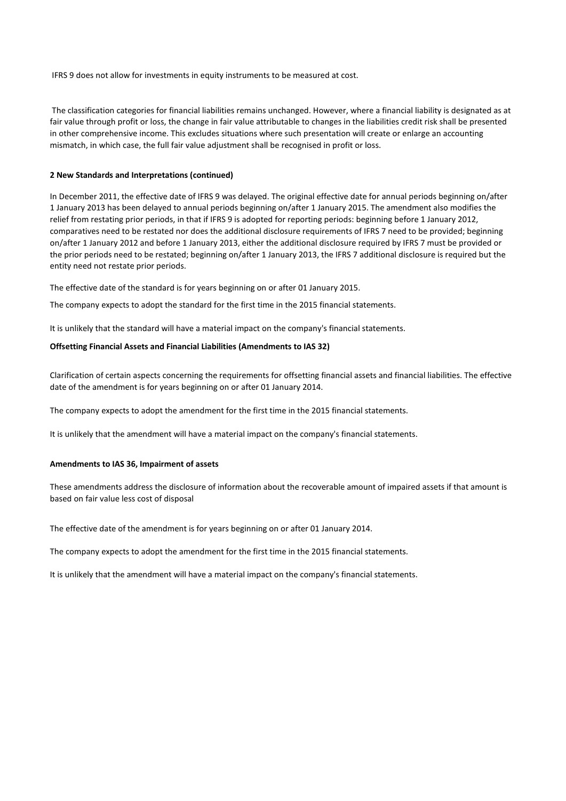IFRS 9 does not allow for investments in equity instruments to be measured at cost.

 The classification categories for financial liabilities remains unchanged. However, where a financial liability is designated as at fair value through profit or loss, the change in fair value attributable to changes in the liabilities credit risk shall be presented in other comprehensive income. This excludes situations where such presentation will create or enlarge an accounting mismatch, in which case, the full fair value adjustment shall be recognised in profit or loss.

## **2 New Standards and Interpretations (continued)**

In December 2011, the effective date of IFRS 9 was delayed. The original effective date for annual periods beginning on/after 1 January 2013 has been delayed to annual periods beginning on/after 1 January 2015. The amendment also modifies the relief from restating prior periods, in that if IFRS 9 is adopted for reporting periods: beginning before 1 January 2012, comparatives need to be restated nor does the additional disclosure requirements of IFRS 7 need to be provided; beginning on/after 1 January 2012 and before 1 January 2013, either the additional disclosure required by IFRS 7 must be provided or the prior periods need to be restated; beginning on/after 1 January 2013, the IFRS 7 additional disclosure is required but the entity need not restate prior periods.

The effective date of the standard is for years beginning on or after 01 January 2015.

The company expects to adopt the standard for the first time in the 2015 financial statements.

It is unlikely that the standard will have a material impact on the company's financial statements.

## **Offsetting Financial Assets and Financial Liabilities (Amendments to IAS 32)**

Clarification of certain aspects concerning the requirements for offsetting financial assets and financial liabilities. The effective date of the amendment is for years beginning on or after 01 January 2014.

The company expects to adopt the amendment for the first time in the 2015 financial statements.

It is unlikely that the amendment will have a material impact on the company's financial statements.

## **Amendments to IAS 36, Impairment of assets**

These amendments address the disclosure of information about the recoverable amount of impaired assets if that amount is based on fair value less cost of disposal

The effective date of the amendment is for years beginning on or after 01 January 2014.

The company expects to adopt the amendment for the first time in the 2015 financial statements.

It is unlikely that the amendment will have a material impact on the company's financial statements.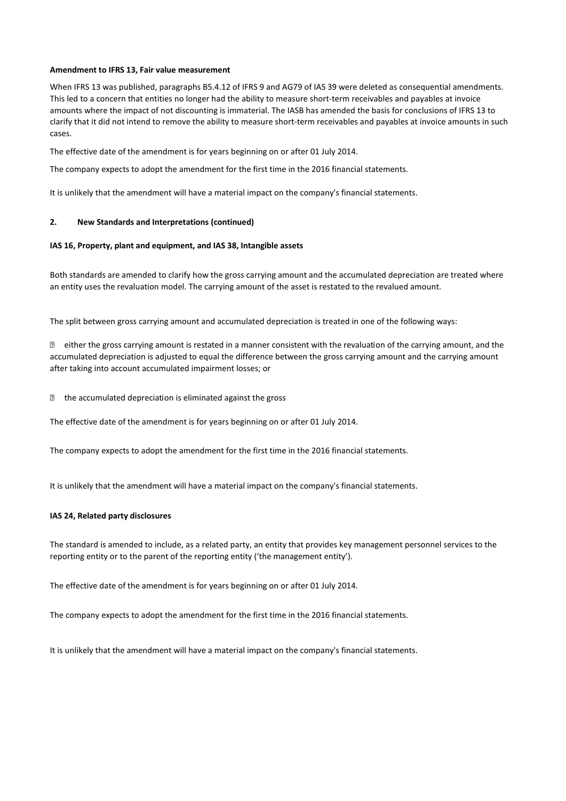## **Amendment to IFRS 13, Fair value measurement**

When IFRS 13 was published, paragraphs B5.4.12 of IFRS 9 and AG79 of IAS 39 were deleted as consequential amendments. This led to a concern that entities no longer had the ability to measure short-term receivables and payables at invoice amounts where the impact of not discounting is immaterial. The IASB has amended the basis for conclusions of IFRS 13 to clarify that it did not intend to remove the ability to measure short-term receivables and payables at invoice amounts in such cases.

The effective date of the amendment is for years beginning on or after 01 July 2014.

The company expects to adopt the amendment for the first time in the 2016 financial statements.

It is unlikely that the amendment will have a material impact on the company's financial statements.

## **2. New Standards and Interpretations (continued)**

## **IAS 16, Property, plant and equipment, and IAS 38, Intangible assets**

Both standards are amended to clarify how the gross carrying amount and the accumulated depreciation are treated where an entity uses the revaluation model. The carrying amount of the asset is restated to the revalued amount.

The split between gross carrying amount and accumulated depreciation is treated in one of the following ways:

 $\ddot{Y}$  either the gross carrying amount is restated in a manner consistent with the revaluation of the carrying amount, and the accumulated depreciation is adjusted to equal the difference between the gross carrying amount and the carrying amount after taking into account accumulated impairment losses; or

 $\ddot{Y}$  the accumulated depreciation is eliminated against the gross

The effective date of the amendment is for years beginning on or after 01 July 2014.

The company expects to adopt the amendment for the first time in the 2016 financial statements.

It is unlikely that the amendment will have a material impact on the company's financial statements.

## **IAS 24, Related party disclosures**

The standard is amended to include, as a related party, an entity that provides key management personnel services to the reporting entity or to the parent of the reporting entity ('the management entity').

The effective date of the amendment is for years beginning on or after 01 July 2014.

The company expects to adopt the amendment for the first time in the 2016 financial statements.

It is unlikely that the amendment will have a material impact on the company's financial statements.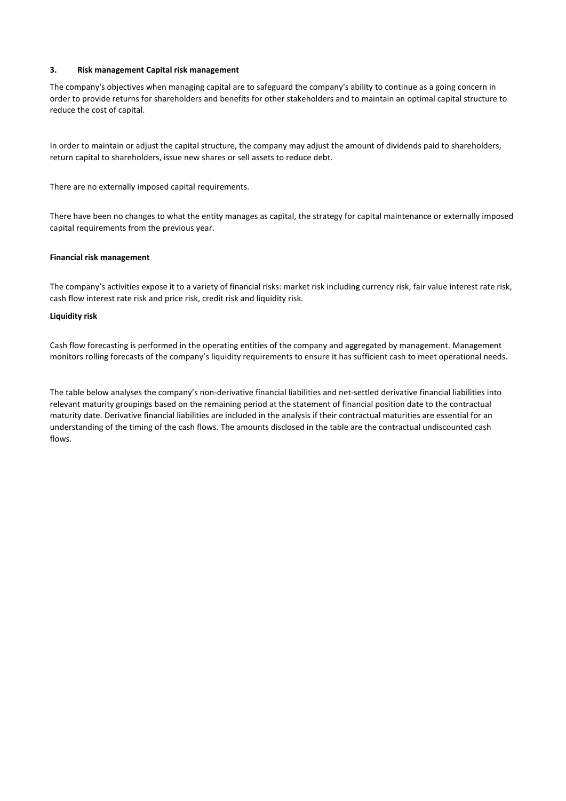## **3. Risk management Capital risk management**

The company's objectives when managing capital are to safeguard the company's ability to continue as a going concern in order to provide returns for shareholders and benefits for other stakeholders and to maintain an optimal capital structure to reduce the cost of capital.

In order to maintain or adjust the capital structure, the company may adjust the amount of dividends paid to shareholders, return capital to shareholders, issue new shares or sell assets to reduce debt.

There are no externally imposed capital requirements.

There have been no changes to what the entity manages as capital, the strategy for capital maintenance or externally imposed capital requirements from the previous year.

## **Financial risk management**

The company's activities expose it to a variety of financial risks: market risk including currency risk, fair value interest rate risk, cash flow interest rate risk and price risk, credit risk and liquidity risk.

## **Liquidity risk**

Cash flow forecasting is performed in the operating entities of the company and aggregated by management. Management monitors rolling forecasts of the company's liquidity requirements to ensure it has sufficient cash to meet operational needs.

The table below analyses the company's non-derivative financial liabilities and net-settled derivative financial liabilities into relevant maturity groupings based on the remaining period at the statement of financial position date to the contractual maturity date. Derivative financial liabilities are included in the analysis if their contractual maturities are essential for an understanding of the timing of the cash flows. The amounts disclosed in the table are the contractual undiscounted cash flows.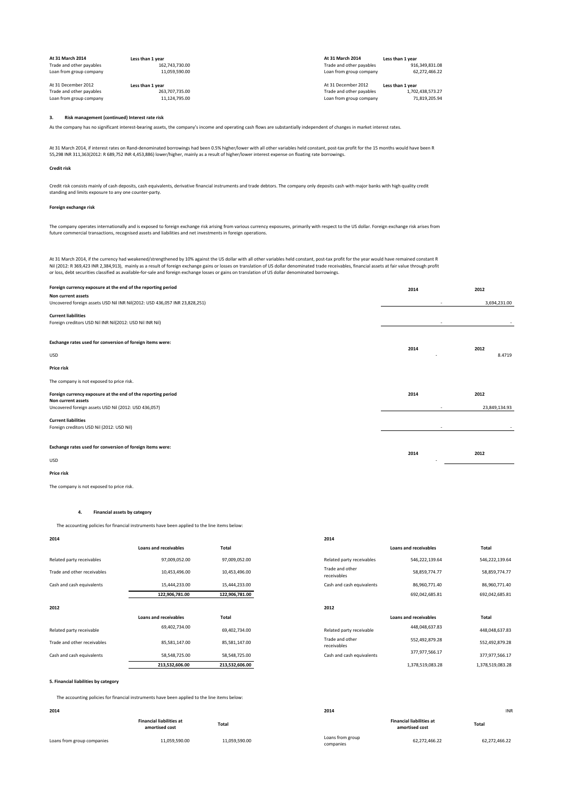| At 31 March 2014         | Less than 1 year | At 31 March 2014         | Less than 1 year |
|--------------------------|------------------|--------------------------|------------------|
| Trade and other payables | 162.743.730.00   | Trade and other payables | 916.349.831.08   |
| Loan from group company  | 11.059.590.00    | Loan from group company  | 62.272.466.22    |
| At 31 December 2012      | Less than 1 year | At 31 December 2012      | Less than 1 year |
| Trade and other payables | 263.707.735.00   | Trade and other payables | 1.702.438.573.27 |
| Loan from group company  | 11.124.795.00    | Loan from group company  | 71.819.205.94    |

#### **3. Risk management (continued) Interest rate risk**

As the company has no significant interest-bearing assets, the company's income and operating cash flows are substantially independent of changes in market interest rates.

At 31 March 2014, if interest rates on Rand-denominated borrowings had been 0.5% higher/lower with all other variables held constant, post-tax profit for the 15 months would have been R<br>55,298 INR 311,363(2012: R 689,752 I

#### **Credit risk**

Credit risk consists mainly of cash deposits, cash equivalents, derivative financial instruments and trade debtors. The company only deposits cash with major banks with high quality credit<br>standing and limits exposure to a

#### **Foreign exchange risk**

The company operates internationally and is exposed to foreign exchange risk arising from various currency exposures, primarily with respect to the US dollar. Foreign exchange risk arises from<br>future commercial transaction

At 31 March 2014, if the currency had weakened/strengthened by 10% against the US dollar with all other variables held constant, post-tax profit for the year would have remained constant R<br>Nil (2012: R 369,423 INR 2,384,91

| Foreign currency exposure at the end of the reporting period                                     | 2014 | 2012          |
|--------------------------------------------------------------------------------------------------|------|---------------|
| Non current assets<br>Uncovered foreign assets USD Nil INR Nil(2012: USD 436,057 INR 23,828,251) |      | 3,694,231.00  |
| <b>Current liabilities</b><br>Foreign creditors USD Nil INR Nil(2012: USD Nil INR Nil)           |      |               |
| Exchange rates used for conversion of foreign items were:                                        | 2014 | 2012          |
| <b>USD</b>                                                                                       |      | 8.4719        |
| Price risk                                                                                       |      |               |
| The company is not exposed to price risk.                                                        |      |               |
| Foreign currency exposure at the end of the reporting period<br>Non current assets               | 2014 | 2012          |
| Uncovered foreign assets USD Nil (2012: USD 436,057)                                             |      | 23,849,134.93 |
| <b>Current liabilities</b><br>Foreign creditors USD Nil (2012: USD Nil)                          |      |               |
| Exchange rates used for conversion of foreign items were:                                        |      |               |
| <b>USD</b>                                                                                       | 2014 | 2012          |

**Price risk**

The company is not exposed to price risk.

#### **4. Financial assets by category**

#### The accounting policies for financial instruments have been applied to the line items below:

| 2014                        |                              |                | 2014                           |                              |                  |
|-----------------------------|------------------------------|----------------|--------------------------------|------------------------------|------------------|
|                             | <b>Loans and receivables</b> | Total          |                                | <b>Loans and receivables</b> | Total            |
| Related party receivables   | 97,009,052.00                | 97,009,052.00  | Related party receivables      | 546,222,139.64               | 546,222,139.64   |
| Trade and other receivables | 10,453,496.00                | 10,453,496.00  | Trade and other<br>receivables | 58,859,774.77                | 58,859,774.77    |
| Cash and cash equivalents   | 15,444,233.00                | 15,444,233.00  | Cash and cash equivalents      | 86,960,771.40                | 86,960,771.40    |
|                             | 122,906,781.00               | 122,906,781.00 |                                | 692,042,685.81               | 692,042,685.81   |
| 2012                        |                              |                | 2012                           |                              |                  |
|                             | <b>Loans and receivables</b> | <b>Total</b>   |                                | <b>Loans and receivables</b> | Total            |
| Related party receivable    | 69,402,734.00                | 69,402,734.00  | Related party receivable       | 448,048,637.83               | 448,048,637.83   |
| Trade and other receivables | 85,581,147.00                | 85,581,147.00  | Trade and other<br>receivables | 552,492,879.28               | 552,492,879.28   |
| Cash and cash equivalents   | 58,548,725.00                | 58,548,725.00  | Cash and cash equivalents      | 377,977,566.17               | 377,977,566.17   |
|                             | 213,532,606.00               | 213,532,606.00 |                                | 1,378,519,083.28             | 1,378,519,083.28 |

#### **5. Financial liabilities by category**

The accounting policies for financial instruments have been applied to the line items below:

|                            | <b>Financial liabilities at</b><br>amortised cost | Total         |
|----------------------------|---------------------------------------------------|---------------|
| Loans from group companies | 11,059,590.00                                     | 11,059,590.00 |

|                       |                | 2014                           |                              |                  |
|-----------------------|----------------|--------------------------------|------------------------------|------------------|
| Loans and receivables | <b>Total</b>   |                                | <b>Loans and receivables</b> | Total            |
| 97,009,052.00         | 97,009,052.00  | Related party receivables      | 546,222,139.64               | 546,222,139.64   |
| 10,453,496.00         | 10,453,496.00  | Trade and other<br>receivables | 58,859,774.77                | 58,859,774.77    |
| 15,444,233.00         | 15,444,233.00  | Cash and cash equivalents      | 86,960,771.40                | 86,960,771.40    |
| 122,906,781.00        | 122,906,781.00 |                                | 692,042,685.81               | 692,042,685.81   |
|                       |                | 2012                           |                              |                  |
| Loans and receivables | <b>Total</b>   |                                | <b>Loans and receivables</b> | Total            |
| 69,402,734.00         | 69,402,734.00  | Related party receivable       | 448,048,637.83               | 448,048,637.83   |
| 85,581,147.00         | 85,581,147.00  | Trade and other<br>receivables | 552,492,879.28               | 552,492,879.28   |
| 58,548,725.00         | 58,548,725.00  | Cash and cash equivalents      | 377,977,566.17               | 377,977,566.17   |
| 213,532,606.00        | 213,532,606.00 |                                | 1,378,519,083.28             | 1,378,519,083.28 |
|                       |                |                                |                              |                  |

| 2014                       |                                                   |               | 2014                          |                                                   | INR           |
|----------------------------|---------------------------------------------------|---------------|-------------------------------|---------------------------------------------------|---------------|
|                            | <b>Financial liabilities at</b><br>amortised cost | Total         |                               | <b>Financial liabilities at</b><br>amortised cost | Total         |
| Loans from group companies | 11,059,590.00                                     | 11,059,590.00 | Loans from group<br>companies | 62,272,466.22                                     | 62,272,466.22 |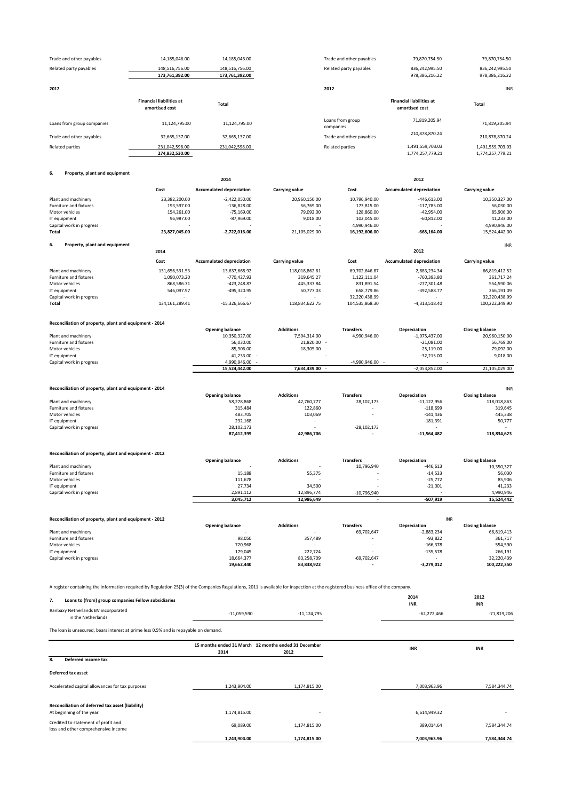| Trade and other payables                                                                                                                                                            | 14,185,046.00                   | 14,185,046.00                                        |                       | Trade and other payables        | 79,870,754.50                   | 79,870,754.50                        |
|-------------------------------------------------------------------------------------------------------------------------------------------------------------------------------------|---------------------------------|------------------------------------------------------|-----------------------|---------------------------------|---------------------------------|--------------------------------------|
| Related party payables                                                                                                                                                              | 148,516,756.00                  | 148,516,756.00                                       |                       | Related party payables          | 836,242,995.50                  | 836,242,995.50                       |
|                                                                                                                                                                                     | 173,761,392.00                  | 173,761,392.00                                       |                       |                                 | 978,386,216.22                  | 978,386,216.22                       |
|                                                                                                                                                                                     |                                 |                                                      |                       |                                 |                                 |                                      |
| 2012                                                                                                                                                                                |                                 |                                                      |                       | 2012                            |                                 | <b>INR</b>                           |
|                                                                                                                                                                                     | <b>Financial liabilities at</b> |                                                      |                       |                                 | <b>Financial liabilities at</b> |                                      |
|                                                                                                                                                                                     | amortised cost                  | Total                                                |                       |                                 | amortised cost                  | Total                                |
|                                                                                                                                                                                     |                                 |                                                      |                       | Loans from group                | 71,819,205.94                   |                                      |
| Loans from group companies                                                                                                                                                          | 11,124,795.00                   | 11,124,795.00                                        |                       | companies                       |                                 | 71,819,205.94                        |
| Trade and other payables                                                                                                                                                            | 32,665,137.00                   | 32,665,137.00                                        |                       | Trade and other payables        | 210,878,870.24                  | 210,878,870.24                       |
| <b>Related parties</b>                                                                                                                                                              | 231,042,598.00                  | 231,042,598.00                                       |                       | <b>Related parties</b>          | 1,491,559,703.03                | 1,491,559,703.03                     |
|                                                                                                                                                                                     | 274,832,530.00                  |                                                      |                       |                                 | 1,774,257,779.21                | 1,774,257,779.21                     |
|                                                                                                                                                                                     |                                 |                                                      |                       |                                 |                                 |                                      |
| 6.<br>Property, plant and equipment                                                                                                                                                 |                                 |                                                      |                       |                                 |                                 |                                      |
|                                                                                                                                                                                     |                                 | 2014                                                 |                       |                                 | 2012                            |                                      |
|                                                                                                                                                                                     | Cost                            | <b>Accumulated depreciation</b>                      | Carrying value        | Cost                            | <b>Accumulated depreciation</b> | Carrying value                       |
| Plant and machinery                                                                                                                                                                 | 23,382,200.00                   | $-2,422,050.00$                                      | 20,960,150.00         | 10,796,940.00                   | $-446,613.00$                   | 10,350,327.00                        |
| Furniture and fixtures                                                                                                                                                              | 193,597.00                      | $-136,828.00$                                        | 56,769.00             | 173,815.00                      | $-117,785.00$                   | 56,030.00                            |
| Motor vehicles                                                                                                                                                                      | 154,261.00                      | $-75,169.00$                                         | 79,092.00             | 128,860.00                      | $-42,954.00$                    | 85,906.00                            |
| IT equipment                                                                                                                                                                        | 96,987.00                       | $-87,969.00$                                         | 9,018.00              | 102,045.00                      | $-60,812.00$                    | 41,233.00                            |
| Capital work in progress<br>Total                                                                                                                                                   | 23,827,045.00                   | $-2,722,016.00$                                      |                       | 4,990,946.00<br>16,192,606.00   | $-668, 164.00$                  | 4,990,946.00                         |
|                                                                                                                                                                                     |                                 |                                                      | 21,105,029.00         |                                 |                                 | 15,524,442.00                        |
| 6.<br>Property, plant and equipment                                                                                                                                                 |                                 |                                                      |                       |                                 |                                 | INR                                  |
|                                                                                                                                                                                     | 2014                            |                                                      |                       |                                 | 2012                            |                                      |
|                                                                                                                                                                                     | Cost                            | <b>Accumulated depreciation</b>                      | <b>Carrying value</b> | Cost                            | <b>Accumulated depreciation</b> | Carrying value                       |
| Plant and machinery                                                                                                                                                                 | 131,656,531.53                  | $-13,637,668.92$                                     | 118,018,862.61        | 69,702,646.87                   | $-2,883,234.34$                 | 66,819,412.52                        |
| Furniture and fixtures                                                                                                                                                              | 1,090,073.20                    | $-770,427.93$                                        | 319,645.27            | 1,122,111.04                    | -760,393.80                     | 361,717.24                           |
| Motor vehicles                                                                                                                                                                      | 868,586.71                      | $-423,248.87$                                        | 445,337.84            | 831,891.54                      | $-277,301.48$                   | 554,590.06                           |
| IT equipment                                                                                                                                                                        | 546,097.97                      | -495,320.95                                          | 50,777.03             | 658,779.86                      | -392,588.77                     | 266,191.09                           |
| Capital work in progress<br>Total                                                                                                                                                   | 134, 161, 289. 41               | $-15,326,666.67$                                     | 118,834,622.75        | 32,220,438.99<br>104,535,868.30 | $-4,313,518.40$                 | 32,220,438.99<br>100,222,349.90      |
|                                                                                                                                                                                     |                                 |                                                      |                       |                                 |                                 |                                      |
|                                                                                                                                                                                     |                                 |                                                      |                       |                                 |                                 |                                      |
| Reconciliation of property, plant and equipment - 2014                                                                                                                              |                                 |                                                      | <b>Additions</b>      | <b>Transfers</b>                |                                 | <b>Closing balance</b>               |
| Plant and machinery                                                                                                                                                                 |                                 | <b>Opening balance</b><br>10,350,327.00              | 7,594,314.00          | 4,990,946.00                    | Depreciation<br>$-1,975,437.00$ | 20,960,150.00                        |
| Furniture and fixtures                                                                                                                                                              |                                 | 56,030.00                                            | 21,820.00             | $\sim$                          | $-21,081.00$                    | 56,769.00                            |
| Motor vehicles                                                                                                                                                                      |                                 | 85,906.00                                            | 18,305.00 -           |                                 | $-25,119.00$                    | 79,092.00                            |
| IT equipment                                                                                                                                                                        |                                 | 41,233.00                                            |                       |                                 | $-32,215.00$                    | 9,018.00                             |
| Capital work in progress                                                                                                                                                            |                                 | 4,990,946.00                                         | 7,634,439.00 -        | $-4,990,946.00 -$               | $-2,053,852.00$                 | 21,105,029.00                        |
|                                                                                                                                                                                     |                                 | 15,524,442.00                                        |                       |                                 |                                 |                                      |
|                                                                                                                                                                                     |                                 |                                                      |                       |                                 |                                 |                                      |
| Reconciliation of property, plant and equipment - 2014                                                                                                                              |                                 |                                                      |                       |                                 |                                 | <b>INR</b>                           |
|                                                                                                                                                                                     |                                 | <b>Opening balance</b>                               | <b>Additions</b>      | <b>Transfers</b>                | Depreciation                    | <b>Closing balance</b>               |
| Plant and machinery<br>Furniture and fixtures                                                                                                                                       |                                 | 58,278,868<br>315,484                                | 42,760,777<br>122,860 | 28,102,173                      | $-11,122,956$<br>$-118,699$     | 118,018,863<br>319,645               |
| Motor vehicles                                                                                                                                                                      |                                 | 483,705                                              | 103,069               |                                 | $-141,436$                      | 445,338                              |
| IT equipment                                                                                                                                                                        |                                 | 232,168                                              |                       |                                 | $-181,391$                      | 50,777                               |
| Capital work in progress                                                                                                                                                            |                                 | 28,102,173<br>87,412,399                             |                       | $-28,102,173$                   |                                 | 118,834,623                          |
|                                                                                                                                                                                     |                                 |                                                      | 42,986,706            |                                 | $-11,564,482$                   |                                      |
|                                                                                                                                                                                     |                                 |                                                      |                       |                                 |                                 |                                      |
| Reconciliation of property, plant and equipment - 2012                                                                                                                              |                                 |                                                      | <b>Additions</b>      | <b>Transfers</b>                |                                 |                                      |
| Plant and machinery                                                                                                                                                                 |                                 | <b>Opening balance</b>                               |                       | 10,796,940                      | Depreciation<br>-446,613        | <b>Closing balance</b><br>10,350,327 |
| Furniture and fixtures                                                                                                                                                              |                                 | 15,188                                               | 55,375                |                                 |                                 |                                      |
| Motor vehicles                                                                                                                                                                      |                                 |                                                      |                       |                                 |                                 |                                      |
| IT equipment                                                                                                                                                                        |                                 | 111,678                                              |                       |                                 | $-14,533$<br>-25,772            | 56,030<br>85,906                     |
|                                                                                                                                                                                     |                                 | 27,734                                               | 34,500                |                                 | $-21,001$                       | 41,233                               |
| Capital work in progress                                                                                                                                                            |                                 | 2,891,112                                            | 12,896,774            | $-10,796,940$                   |                                 | 4,990,946                            |
|                                                                                                                                                                                     |                                 | 3,045,712                                            | 12,986,649            |                                 | $-507,919$                      | 15,524,442                           |
|                                                                                                                                                                                     |                                 |                                                      |                       |                                 |                                 |                                      |
| Reconciliation of property, plant and equipment - 2012                                                                                                                              |                                 |                                                      |                       |                                 | INR                             |                                      |
|                                                                                                                                                                                     |                                 | <b>Opening balance</b>                               | <b>Additions</b>      | <b>Transfers</b>                | Depreciation                    | <b>Closing balance</b>               |
| Plant and machinery<br>Furniture and fixtures                                                                                                                                       |                                 | 98,050                                               | 357,489               | 69,702,647                      | $-2,883,234$<br>$-93,822$       | 66,819,413<br>361,717                |
| Motor vehicles                                                                                                                                                                      |                                 | 720,968                                              |                       |                                 | $-166,378$                      | 554,590                              |
| IT equipment                                                                                                                                                                        |                                 | 179,045                                              | 222,724               |                                 | $-135,578$                      | 266,191                              |
| Capital work in progress                                                                                                                                                            |                                 | 18,664,377                                           | 83,258,709            | $-69,702,647$                   |                                 | 32,220,439                           |
|                                                                                                                                                                                     |                                 | 19,662,440                                           | 83,838,922            |                                 | $-3,279,012$                    | 100,222,350                          |
|                                                                                                                                                                                     |                                 |                                                      |                       |                                 |                                 |                                      |
| A register containing the information required by Regulation 25(3) of the Companies Regulations, 2011 is available for inspection at the registered business office of the company. |                                 |                                                      |                       |                                 |                                 |                                      |
|                                                                                                                                                                                     |                                 |                                                      |                       |                                 | 2014                            | 2012                                 |
| 7.<br>Loans to (from) group companies Fellow subsidiaries                                                                                                                           |                                 |                                                      |                       |                                 | INR                             | <b>INR</b>                           |
| Ranbaxy Netherlands BV incorporated                                                                                                                                                 |                                 | $-11,059,590$                                        | $-11, 124, 795$       |                                 | $-62,272,466$                   | $-71,819,206$                        |
| in the Netherlands                                                                                                                                                                  |                                 |                                                      |                       |                                 |                                 |                                      |
| The loan is unsecured, bears interest at prime less 0.5% and is repayable on demand.                                                                                                |                                 |                                                      |                       |                                 |                                 |                                      |
|                                                                                                                                                                                     |                                 |                                                      |                       |                                 |                                 |                                      |
|                                                                                                                                                                                     |                                 | 15 months ended 31 March 12 months ended 31 December |                       |                                 | <b>INR</b>                      | <b>INR</b>                           |
| Deferred income tax<br>8.                                                                                                                                                           |                                 | 2014                                                 | 2012                  |                                 |                                 |                                      |
|                                                                                                                                                                                     |                                 |                                                      |                       |                                 |                                 |                                      |
| Deferred tax asset                                                                                                                                                                  |                                 |                                                      |                       |                                 |                                 |                                      |
| Accelerated capital allowances for tax purposes                                                                                                                                     |                                 | 1,243,904.00                                         | 1,174,815.00          |                                 | 7,003,963.96                    | 7,584,344.74                         |
|                                                                                                                                                                                     |                                 |                                                      |                       |                                 |                                 |                                      |
|                                                                                                                                                                                     |                                 |                                                      |                       |                                 |                                 |                                      |
| Reconciliation of deferred tax asset (liability)                                                                                                                                    |                                 |                                                      |                       |                                 |                                 |                                      |
| At beginning of the year<br>Credited to statement of profit and                                                                                                                     |                                 | 1,174,815.00                                         |                       |                                 | 6,614,949.32                    |                                      |

 **1,243,904.00 1,174,815.00 7,003,963.96 7,584,344.74**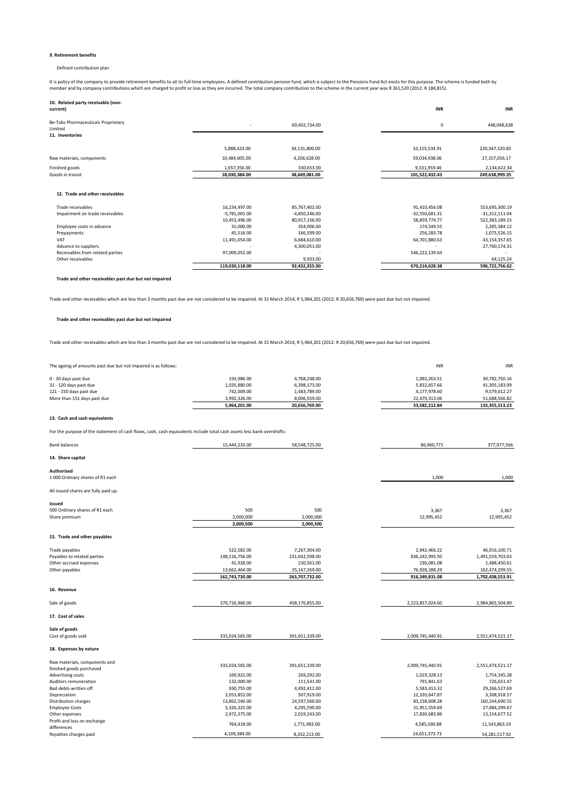#### **9. Retirement benefits**

#### Defined contribution plan

It is policy of the company to provide retirement benefits to all its full-time employees. A defined contribution pension fund, which is subject to the Pensions Fund Act exists for this purpose. The scheme is funded both b

| 10. Related party receivable (non-<br>current)                    |                 |                 | <b>INR</b>       | <b>INR</b>       |
|-------------------------------------------------------------------|-----------------|-----------------|------------------|------------------|
| Be-Tabs Pharmaceuticals Proprietary<br>Limited<br>11. Inventories |                 | 69,402,734.00   |                  | 448,048,638<br>0 |
|                                                                   |                 |                 |                  |                  |
|                                                                   | 5,888,423.00    | 34,131,800.00   | 33,155,534.91    | 220, 347, 320.85 |
| Raw materials, components                                         | 10,484,605.00   | 4,206,628.00    | 59,034,938.06    | 27,157,056.17    |
| Finished goods                                                    | 1,657,356.00    | 330,653.00      | 9,331,959.46     | 2,134,622.34     |
| Goods in transit                                                  | 18,030,384.00   | 38,669,081.00   | 101,522,432.43   | 249,638,999.35   |
| 12. Trade and other receivables                                   |                 |                 |                  |                  |
| Trade receivables                                                 | 16,234,497.00   | 85,767,402.00   | 91,410,456.08    | 553,695,300.19   |
| Impairment on trade receivables                                   | $-5,781,001.00$ | $-4,850,246.00$ | $-32,550,681.31$ | $-31,312,111.04$ |
|                                                                   | 10,453,496.00   | 80,917,156.00   | 58,859,774.77    | 522,383,189.15   |
| Employee costs in advance                                         | 31.000.00       | 354.006.00      | 174.549.55       | 2,285,384.12     |
| Prepayments                                                       | 45,516.00       | 166,599.00      | 256.283.78       | 1,075,526.15     |
| VAT                                                               | 11,491,054.00   | 6,684,610.00    | 64,701,880.63    | 43,154,357.65    |
| Advance to suppliers                                              |                 | 4,300,051.00    |                  | 27,760,174.31    |
| Receivables from related parties                                  | 97,009,052.00   |                 | 546,222,139.64   |                  |
| Other receivables                                                 |                 | 9,933.00        |                  | 64,125.24        |
|                                                                   | 119,030,118.00  | 92,432,355.00   | 670,214,628.38   | 596,722,756.62   |

**Trade and other receivables past due but not impaired**

Trade and other receivables which are less than 3 months past due are not considered to be impaired. At 31 March 2014, R 5,964,201 (2012: R 20,656,769) were past due but not impaired.

#### **Trade and other receivables past due but not impaired**

Trade and other receivables which are less than 3 months past due are not considered to be impaired. At 31 March 2014, R 5,964,201 (2012: R 20,656,769) were past due but not impaired.

The ageing of amounts past due but not impaired is as follows: **INR** INR INR INR

|                             | 5,964,201.00 | 20.656.769.00 | 33.582.212.84 | 133.355.513.23 |
|-----------------------------|--------------|---------------|---------------|----------------|
| More than 151 days past due | 3.992.326.00 | 8.006.559.00  | 22.479.313.06 | 51.688.566.82  |
| 121 - 150 days past due     | 742.009.00   | 1,483,789.00  | 4,177,978.60  | 9.579.012.27   |
| 31 - 120 days past due      | 1.035.880.00 | 6,398,173.00  | 5.832.657.66  | 41.305.183.99  |
| 0 - 30 days past due        | 193.986.00   | 4.768.248.00  | 1.092.263.51  | 30.782.750.16  |
|                             |              |               |               |                |

#### **13. Cash and cash equivalents**

For the purpose of the statement of cash flows, cash, cash equivalents include total cash assets less bank overdrafts:

| <b>Bank balances</b>                       | 15,444,233.00                | 58,548,725.00                  | 86,960,771                     | 377,977,566                       |
|--------------------------------------------|------------------------------|--------------------------------|--------------------------------|-----------------------------------|
| 14. Share capital                          |                              |                                |                                |                                   |
| Authorised                                 |                              |                                |                                |                                   |
| 1 000 Ordinary shares of R1 each           |                              |                                | 1,000                          | 1,000                             |
| All issued shares are fully paid up.       |                              |                                |                                |                                   |
| Issued                                     |                              |                                |                                |                                   |
| 500 Ordinary shares of R1 each             | 500                          | 500                            | 3,367                          | 3,367                             |
| Share premium                              | 2,000,000                    | 2,000,000                      | 12,995,452                     | 12,995,452                        |
|                                            | 2,000,500                    | 2,000,500                      |                                |                                   |
| 15. Trade and other payables               |                              |                                |                                |                                   |
| Trade payables                             |                              |                                |                                |                                   |
| Payables to related parties                | 522,582.00<br>148,516,756.00 | 7,267,304.00<br>231,042,598.00 | 2,942,466.22<br>836,242,995.50 | 46,916,100.71<br>1,491,559,703.03 |
| Other accrued expenses                     | 41,928.00                    | 230,561.00                     | 236,081.08                     | 1,488,450.61                      |
| Other payables                             | 13,662,464.00                | 25,167,269.00                  | 76,928,288.29                  | 162,474,299.55                    |
|                                            | 162,743,730.00               | 263,707,732.00                 | 916,349,831.08                 | 1,702,438,553.91                  |
|                                            |                              |                                |                                |                                   |
| 16. Revenue                                |                              |                                |                                |                                   |
| Sale of goods                              | 370,716,966.00               | 458,176,855.00                 | 2,223,857,024.60               | 2,984,865,504.89                  |
| 17. Cost of sales                          |                              |                                |                                |                                   |
| Sale of goods                              |                              |                                |                                |                                   |
| Cost of goods sold                         | 335,024,565.00               | 391,651,339.00                 | 2,009,745,440.91               | 2,551,474,521.17                  |
| 18. Expenses by nature                     |                              |                                |                                |                                   |
| Raw materials, components and              | 335,024,565.00               | 391,651,339.00                 | 2,009,745,440.91               | 2,551,474,521.17                  |
| finished goods purchased                   |                              |                                |                                |                                   |
| Advertising costs                          | 169,922.00                   | 269,292.00                     | 1,019,328.13                   | 1,754,345.28                      |
| Auditors remuneration                      | 132,000.00                   | 111,541.00                     | 791,841.63                     | 726,651.47                        |
| Bad debts written off                      | 930,755.00                   | 4,492,412.00                   | 5,583,413.32                   | 29,266,527.69                     |
| Depreciation                               | 2,053,852.00                 | 507,919.00                     | 12,320,647.87                  | 3,308,918.57                      |
| Distribution charges                       | 13,862,540.00                | 24,597,560.00                  | 83,158,608.28                  | 160,244,690.55                    |
| <b>Employee Costs</b>                      | 5,326,325.00                 | 4,295,590.00                   | 31,951,559.69                  | 27,984,299.67                     |
| Other expenses                             | 2,972,375.00                 | 2,019,243.00                   | 17,830,683.86                  | 13,154,677.52                     |
| Profit and loss on exchange<br>differences | 764,418.00                   | 1,771,983.00                   | 4,585,590.88                   | 11,543,863.19                     |
| Royalties charges paid                     | 4,109,384.00                 | 8,332,213.00                   | 24,651,373.73                  | 54,281,517.92                     |
|                                            |                              |                                |                                |                                   |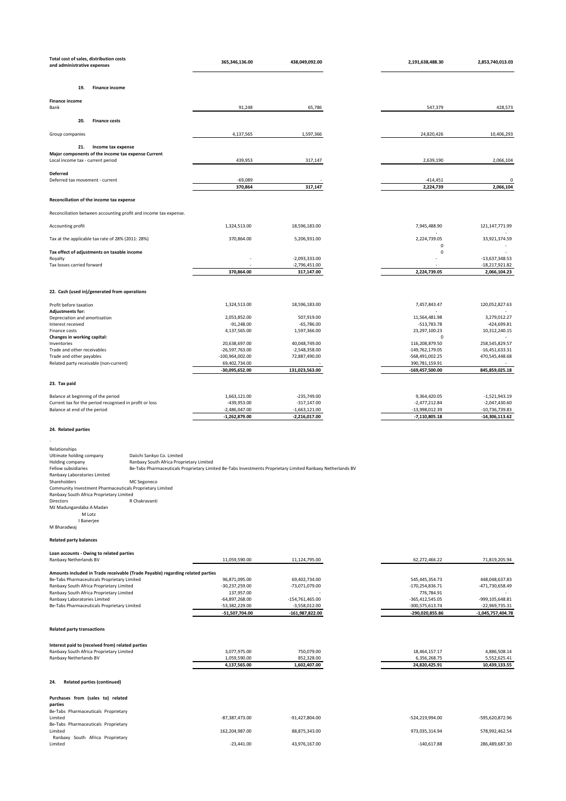| Total cost of sales, distribution costs<br>and administrative expenses                                                        | 365,346,136.00                                                                                             | 438,049,092.00                     | 2,191,638,488.30                   | 2,853,740,013.03                   |
|-------------------------------------------------------------------------------------------------------------------------------|------------------------------------------------------------------------------------------------------------|------------------------------------|------------------------------------|------------------------------------|
|                                                                                                                               |                                                                                                            |                                    |                                    |                                    |
| 19.<br><b>Finance income</b>                                                                                                  |                                                                                                            |                                    |                                    |                                    |
| <b>Finance income</b><br>Bank                                                                                                 | 91,248                                                                                                     | 65,786                             | 547,379                            | 428,573                            |
| 20.<br><b>Finance costs</b>                                                                                                   |                                                                                                            |                                    |                                    |                                    |
| Group companies                                                                                                               | 4,137,565                                                                                                  | 1,597,366                          | 24,820,426                         | 10,406,293                         |
| 21.<br>Income tax expense                                                                                                     |                                                                                                            |                                    |                                    |                                    |
| Major components of the income tax expense Current<br>Local income tax - current period                                       | 439,953                                                                                                    | 317,147                            | 2,639,190                          | 2,066,104                          |
| Deferred                                                                                                                      |                                                                                                            |                                    |                                    |                                    |
| Deferred tax movement - current                                                                                               | $-69,089$                                                                                                  |                                    | $-414,451$                         | $\mathbf{0}$                       |
|                                                                                                                               | 370,864                                                                                                    | 317,147                            | 2,224,739                          | 2,066,104                          |
| Reconciliation of the income tax expense                                                                                      |                                                                                                            |                                    |                                    |                                    |
| Reconciliation between accounting profit and income tax expense.                                                              |                                                                                                            |                                    |                                    |                                    |
| Accounting profit                                                                                                             | 1,324,513.00                                                                                               | 18,596,183.00                      | 7,945,488.90                       | 121, 147, 771.99                   |
| Tax at the applicable tax rate of 28% (2011: 28%)                                                                             | 370,864.00                                                                                                 | 5,206,931.00                       | 2,224,739.05<br>$\mathbf 0$        | 33,921,374.59                      |
| Tax effect of adjustments on taxable income<br>Royalty                                                                        |                                                                                                            | $-2,093,333.00$                    | 0                                  | $-13,637,348.53$                   |
| Tax losses carried forward                                                                                                    | 370,864.00                                                                                                 | $-2,796,451.00$<br>317,147.00      | 2,224,739.05                       | $-18,217,921.82$<br>2,066,104.23   |
|                                                                                                                               |                                                                                                            |                                    |                                    |                                    |
| 22. Cash (used in)/generated from operations                                                                                  |                                                                                                            |                                    |                                    |                                    |
| Profit before taxation<br><b>Adjustments for:</b>                                                                             | 1,324,513.00                                                                                               | 18,596,183.00                      | 7,457,843.47                       | 120,052,827.63                     |
| Depreciation and amortisation<br>Interest received                                                                            | 2,053,852.00<br>$-91,248.00$                                                                               | 507,919.00<br>$-65,786.00$         | 11,564,481.98<br>$-513,783.78$     | 3,279,012.27<br>$-424,699.81$      |
| Finance costs                                                                                                                 | 4,137,565.00                                                                                               | 1,597,366.00                       | 23,297,100.23                      | 10,312,240.15                      |
| Changes in working capital:<br>Inventories                                                                                    | 20,638,697.00                                                                                              | 40,048,749.00                      | $\Omega$<br>116,208,879.50         | 258,545,829.57                     |
| Trade and other receivables<br>Trade and other payables                                                                       | -26,597,763.00<br>$-100,964,002.00$                                                                        | $-2,548,358.00$<br>72,887,490.00   | -149,762,179.05<br>-568,491,002.25 | $-16,451,633.31$<br>470,545,448.68 |
| Related party receivable (non-current)                                                                                        | 69,402,734.00<br>-30,095,652.00                                                                            | 131,023,563.00                     | 390,781,159.91<br>-169,457,500.00  | 845,859,025.18                     |
| 23. Tax paid                                                                                                                  |                                                                                                            |                                    |                                    |                                    |
| Balance at beginning of the period                                                                                            | 1,663,121.00                                                                                               | $-235,749.00$                      | 9,364,420.05                       | $-1,521,943.19$                    |
| Current tax for the period recognised in profit or loss<br>Balance at end of the period                                       | -439,953.00<br>$-2,486,047.00$                                                                             | $-317,147.00$<br>$-1,663,121.00$   | $-2,477,212.84$<br>-13,998,012.39  | $-2,047,430.60$<br>-10,736,739.83  |
|                                                                                                                               | $-1,262,879.00$                                                                                            | -2,216,017.00                      | $-7,110,805.18$                    | $-14,306,113.62$                   |
| 24. Related parties                                                                                                           |                                                                                                            |                                    |                                    |                                    |
|                                                                                                                               |                                                                                                            |                                    |                                    |                                    |
| Relationships<br>Ultimate holding company<br>Daiichi Sankyo Co. Limited                                                       |                                                                                                            |                                    |                                    |                                    |
| Holding company<br>Ranbaxy South Africa Proprietary Limited<br>Fellow subsidiaries                                            | Be-Tabs Pharmaceuticals Proprietary Limited Be-Tabs Investments Proprietary Limited Ranbaxy Netherlands BV |                                    |                                    |                                    |
| Ranbaxy Laboratories Limited<br>Shareholders<br>MC Segoneco                                                                   |                                                                                                            |                                    |                                    |                                    |
| Community Investment Pharmaceuticals Proprietary Limited<br>Ranbaxy South Africa Proprietary Limited                          |                                                                                                            |                                    |                                    |                                    |
| Directors<br>R Chakravanti<br>MJ Madungandaba A Madan                                                                         |                                                                                                            |                                    |                                    |                                    |
| M Lotz<br>I Banerjee                                                                                                          |                                                                                                            |                                    |                                    |                                    |
| M Bharadwaj                                                                                                                   |                                                                                                            |                                    |                                    |                                    |
| <b>Related party balances</b>                                                                                                 |                                                                                                            |                                    |                                    |                                    |
| Loan accounts - Owing to related parties<br>Ranbaxy Netherlands BV                                                            | 11,059,590.00                                                                                              | 11,124,795.00                      | 62,272,466.22                      | 71,819,205.94                      |
|                                                                                                                               |                                                                                                            |                                    |                                    |                                    |
| Amounts included in Trade receivable (Trade Payable) regarding related parties<br>Be-Tabs Pharmaceuticals Proprietary Limited | 96,871,095.00                                                                                              | 69,402,734.00                      | 545,445,354.73                     | 448,048,637.83                     |
| Ranbaxy South Africa Proprietary Limited<br>Ranbaxy South Africa Proprietary Limited                                          | $-30,237,259.00$<br>137,957.00                                                                             | -73,071,079.00                     | -170,254,836.71<br>776,784.91      | -471,730,658.49                    |
| Ranbaxy Laboratories Limited<br>Be-Tabs Pharmaceuticals Proprietary Limited                                                   | $-64,897,268.00$<br>-53,382,229.00                                                                         | -154,761,465.00<br>$-3,558,012.00$ | -365,412,545.05<br>-300,575,613.74 | -999,105,648.81<br>-22,969,735.31  |
|                                                                                                                               | -51,507,704.00                                                                                             | -161,987,822.00                    | -290,020,855.86                    | -1,045,757,404.78                  |
| <b>Related party transactions</b>                                                                                             |                                                                                                            |                                    |                                    |                                    |
| Interest paid to (received from) related parties                                                                              |                                                                                                            |                                    |                                    |                                    |
| Ranbaxy South Africa Proprietary Limited<br>Ranbaxy Netherlands BV                                                            | 3,077,975.00                                                                                               | 750,079.00                         | 18,464,157.17                      | 4,886,508.14                       |
|                                                                                                                               | 1,059,590.00<br>4,137,565.00                                                                               | 852,328.00<br>1,602,407.00         | 6,356,268.75<br>24,820,425.91      | 5,552,625.41<br>10,439,133.55      |
| <b>Related parties (continued)</b><br>24.                                                                                     |                                                                                                            |                                    |                                    |                                    |
|                                                                                                                               |                                                                                                            |                                    |                                    |                                    |
| Purchases from (sales to) related<br>parties                                                                                  |                                                                                                            |                                    |                                    |                                    |
| Be-Tabs Pharmaceuticals Proprietary<br>Limited                                                                                | $-87,387,473.00$                                                                                           | $-91,427,804.00$                   | -524,219,994.00                    | -595,620,872.96                    |
| Be-Tabs Pharmaceuticals Proprietary<br>Limited                                                                                | 162,204,987.00                                                                                             | 88,875,343.00                      | 973,035,314.94                     | 578,992,462.54                     |
| Ranbaxy South Africa Proprietary<br>Limited                                                                                   | $-23,441.00$                                                                                               | 43,976,167.00                      | $-140,617.88$                      | 286,489,687.30                     |